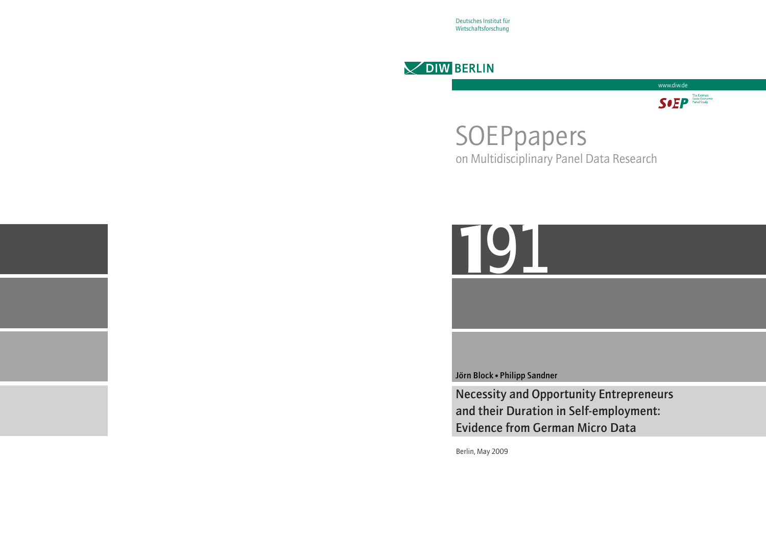Deutsches Institut für Wirtschaftsforschung





# SOEPpapers on Multidisciplinary Panel Data Research



Jörn Block • Philipp Sandner

Necessity and Opportunity Entrepreneurs and their Duration in Self-employment: Evidence from German Micro Data

Berlin, May 2009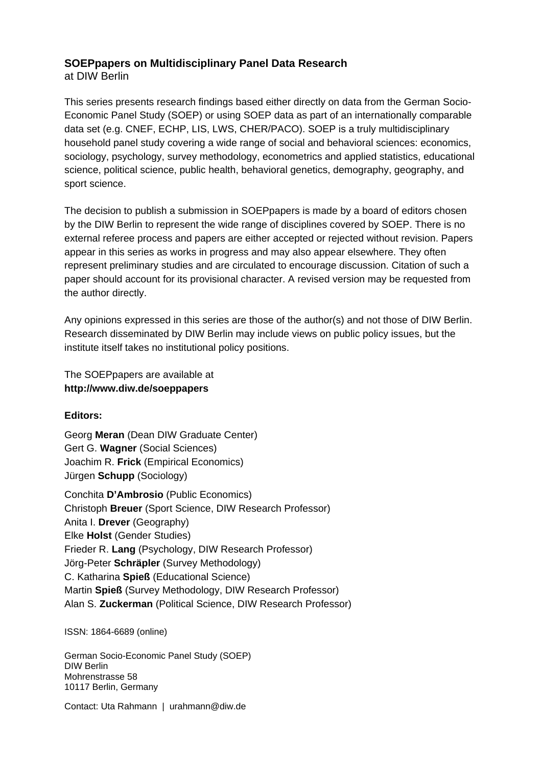# **SOEPpapers on Multidisciplinary Panel Data Research**

at DIW Berlin

This series presents research findings based either directly on data from the German Socio-Economic Panel Study (SOEP) or using SOEP data as part of an internationally comparable data set (e.g. CNEF, ECHP, LIS, LWS, CHER/PACO). SOEP is a truly multidisciplinary household panel study covering a wide range of social and behavioral sciences: economics, sociology, psychology, survey methodology, econometrics and applied statistics, educational science, political science, public health, behavioral genetics, demography, geography, and sport science.

The decision to publish a submission in SOEPpapers is made by a board of editors chosen by the DIW Berlin to represent the wide range of disciplines covered by SOEP. There is no external referee process and papers are either accepted or rejected without revision. Papers appear in this series as works in progress and may also appear elsewhere. They often represent preliminary studies and are circulated to encourage discussion. Citation of such a paper should account for its provisional character. A revised version may be requested from the author directly.

Any opinions expressed in this series are those of the author(s) and not those of DIW Berlin. Research disseminated by DIW Berlin may include views on public policy issues, but the institute itself takes no institutional policy positions.

The SOEPpapers are available at **http://www.diw.de/soeppapers** 

# **Editors:**

Georg **Meran** (Dean DIW Graduate Center) Gert G. **Wagner** (Social Sciences) Joachim R. **Frick** (Empirical Economics) Jürgen **Schupp** (Sociology)

Conchita **D'Ambrosio** (Public Economics) Christoph **Breuer** (Sport Science, DIW Research Professor) Anita I. **Drever** (Geography) Elke **Holst** (Gender Studies) Frieder R. **Lang** (Psychology, DIW Research Professor) Jörg-Peter **Schräpler** (Survey Methodology) C. Katharina **Spieß** (Educational Science) Martin **Spieß** (Survey Methodology, DIW Research Professor) Alan S. **Zuckerman** (Political Science, DIW Research Professor)

ISSN: 1864-6689 (online)

German Socio-Economic Panel Study (SOEP) DIW Berlin Mohrenstrasse 58 10117 Berlin, Germany

Contact: Uta Rahmann | urahmann@diw.de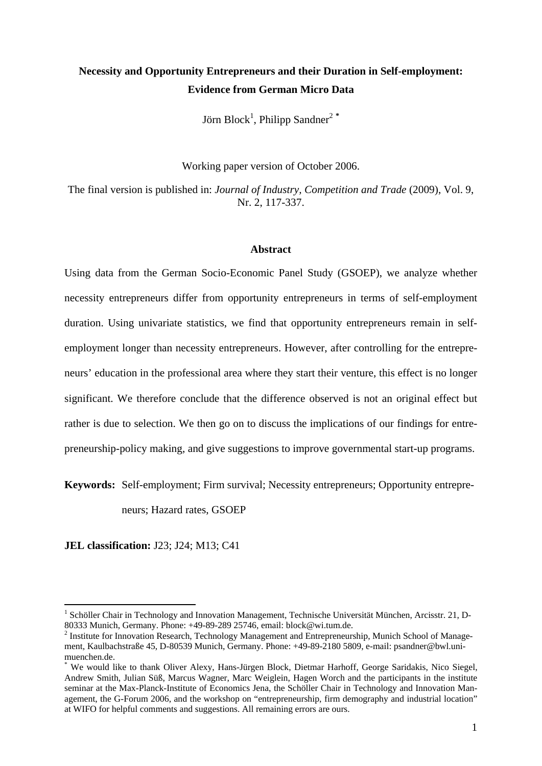# **Necessity and Opportunity Entrepreneurs and their Duration in Self-employment: Evidence from German Micro Data**

Jörn Block<sup>1</sup>, Philipp Sandner<sup>2</sup>\*

Working paper version of October 2006.

The final version is published in: *Journal of Industry, Competition and Trade* (2009), Vol. 9, Nr. 2, 117-337.

#### **Abstract**

Using data from the German Socio-Economic Panel Study (GSOEP), we analyze whether necessity entrepreneurs differ from opportunity entrepreneurs in terms of self-employment duration. Using univariate statistics, we find that opportunity entrepreneurs remain in selfemployment longer than necessity entrepreneurs. However, after controlling for the entrepreneurs' education in the professional area where they start their venture, this effect is no longer significant. We therefore conclude that the difference observed is not an original effect but rather is due to selection. We then go on to discuss the implications of our findings for entrepreneurship-policy making, and give suggestions to improve governmental start-up programs.

**Keywords:** Self-employment; Firm survival; Necessity entrepreneurs; Opportunity entrepre-

neurs; Hazard rates, GSOEP

**JEL classification:** J23; J24; M13; C41

<sup>&</sup>lt;sup>1</sup> Schöller Chair in Technology and Innovation Management, Technische Universität München, Arcisstr. 21, D-80333 Munich, Germany. Phone: +49-89-289 25746, email: block@wi.tum.de.

<sup>&</sup>lt;sup>2</sup> Institute for Innovation Research, Technology Management and Entrepreneurship, Munich School of Management, Kaulbachstraße 45, D-80539 Munich, Germany. Phone: +49-89-2180 5809, e-mail: psandner@bwl.unimuenchen.de.

<sup>\*</sup> We would like to thank Oliver Alexy, Hans-Jürgen Block, Dietmar Harhoff, George Saridakis, Nico Siegel, Andrew Smith, Julian Süß, Marcus Wagner, Marc Weiglein, Hagen Worch and the participants in the institute seminar at the Max-Planck-Institute of Economics Jena, the Schöller Chair in Technology and Innovation Management, the G-Forum 2006, and the workshop on "entrepreneurship, firm demography and industrial location" at WIFO for helpful comments and suggestions. All remaining errors are ours.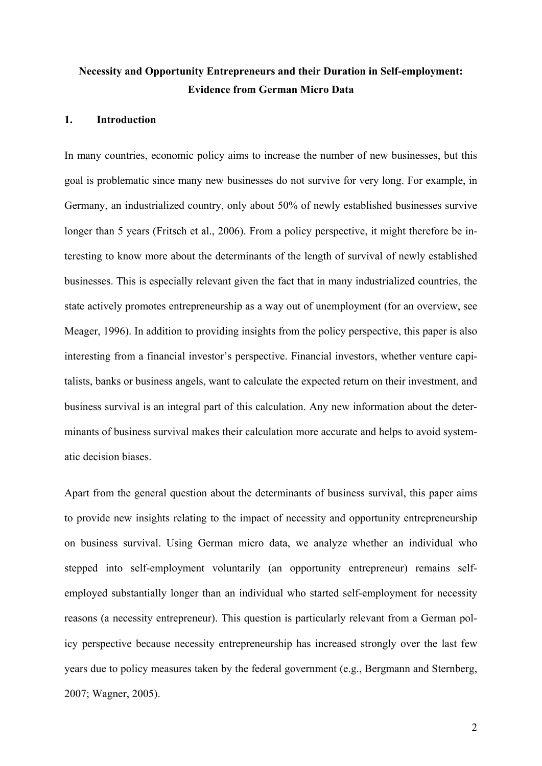# **Necessity and Opportunity Entrepreneurs and their Duration in Self-employment: Evidence from German Micro Data**

## **1. Introduction**

In many countries, economic policy aims to increase the number of new businesses, but this goal is problematic since many new businesses do not survive for very long. For example, in Germany, an industrialized country, only about 50% of newly established businesses survive longer than 5 years (Fritsch et al., 2006). From a policy perspective, it might therefore be interesting to know more about the determinants of the length of survival of newly established businesses. This is especially relevant given the fact that in many industrialized countries, the state actively promotes entrepreneurship as a way out of unemployment (for an overview, see Meager, 1996). In addition to providing insights from the policy perspective, this paper is also interesting from a financial investor's perspective. Financial investors, whether venture capitalists, banks or business angels, want to calculate the expected return on their investment, and business survival is an integral part of this calculation. Any new information about the determinants of business survival makes their calculation more accurate and helps to avoid systematic decision biases.

Apart from the general question about the determinants of business survival, this paper aims to provide new insights relating to the impact of necessity and opportunity entrepreneurship on business survival. Using German micro data, we analyze whether an individual who stepped into self-employment voluntarily (an opportunity entrepreneur) remains selfemployed substantially longer than an individual who started self-employment for necessity reasons (a necessity entrepreneur). This question is particularly relevant from a German policy perspective because necessity entrepreneurship has increased strongly over the last few years due to policy measures taken by the federal government (e.g., Bergmann and Sternberg, 2007; Wagner, 2005).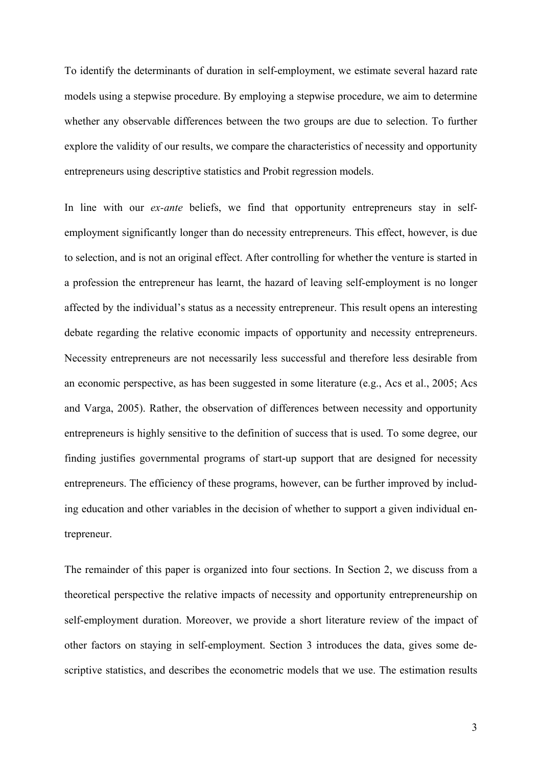To identify the determinants of duration in self-employment, we estimate several hazard rate models using a stepwise procedure. By employing a stepwise procedure, we aim to determine whether any observable differences between the two groups are due to selection. To further explore the validity of our results, we compare the characteristics of necessity and opportunity entrepreneurs using descriptive statistics and Probit regression models.

In line with our *ex-ante* beliefs, we find that opportunity entrepreneurs stay in selfemployment significantly longer than do necessity entrepreneurs. This effect, however, is due to selection, and is not an original effect. After controlling for whether the venture is started in a profession the entrepreneur has learnt, the hazard of leaving self-employment is no longer affected by the individual's status as a necessity entrepreneur. This result opens an interesting debate regarding the relative economic impacts of opportunity and necessity entrepreneurs. Necessity entrepreneurs are not necessarily less successful and therefore less desirable from an economic perspective, as has been suggested in some literature (e.g., Acs et al., 2005; Acs and Varga, 2005). Rather, the observation of differences between necessity and opportunity entrepreneurs is highly sensitive to the definition of success that is used. To some degree, our finding justifies governmental programs of start-up support that are designed for necessity entrepreneurs. The efficiency of these programs, however, can be further improved by including education and other variables in the decision of whether to support a given individual entrepreneur.

The remainder of this paper is organized into four sections. In Section 2, we discuss from a theoretical perspective the relative impacts of necessity and opportunity entrepreneurship on self-employment duration. Moreover, we provide a short literature review of the impact of other factors on staying in self-employment. Section 3 introduces the data, gives some descriptive statistics, and describes the econometric models that we use. The estimation results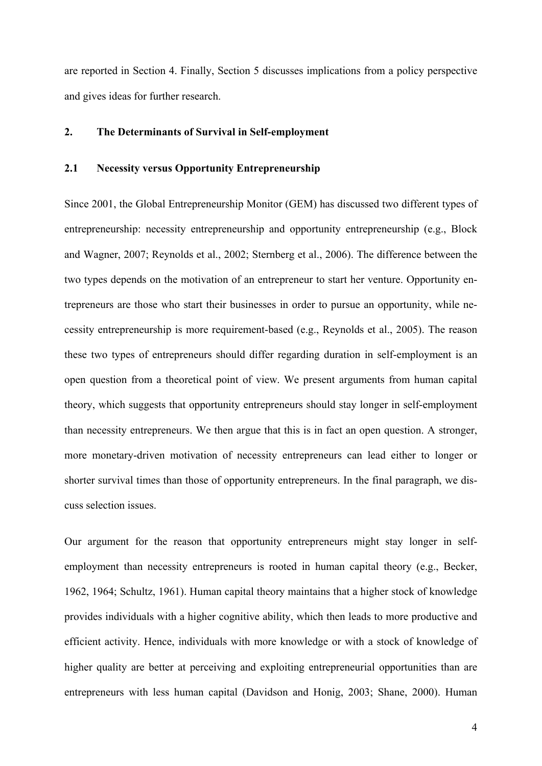are reported in Section 4. Finally, Section 5 discusses implications from a policy perspective and gives ideas for further research.

# **2. The Determinants of Survival in Self-employment**

# **2.1 Necessity versus Opportunity Entrepreneurship**

Since 2001, the Global Entrepreneurship Monitor (GEM) has discussed two different types of entrepreneurship: necessity entrepreneurship and opportunity entrepreneurship (e.g., Block and Wagner, 2007; Reynolds et al., 2002; Sternberg et al., 2006). The difference between the two types depends on the motivation of an entrepreneur to start her venture. Opportunity entrepreneurs are those who start their businesses in order to pursue an opportunity, while necessity entrepreneurship is more requirement-based (e.g., Reynolds et al., 2005). The reason these two types of entrepreneurs should differ regarding duration in self-employment is an open question from a theoretical point of view. We present arguments from human capital theory, which suggests that opportunity entrepreneurs should stay longer in self-employment than necessity entrepreneurs. We then argue that this is in fact an open question. A stronger, more monetary-driven motivation of necessity entrepreneurs can lead either to longer or shorter survival times than those of opportunity entrepreneurs. In the final paragraph, we discuss selection issues.

Our argument for the reason that opportunity entrepreneurs might stay longer in selfemployment than necessity entrepreneurs is rooted in human capital theory (e.g., Becker, 1962, 1964; Schultz, 1961). Human capital theory maintains that a higher stock of knowledge provides individuals with a higher cognitive ability, which then leads to more productive and efficient activity. Hence, individuals with more knowledge or with a stock of knowledge of higher quality are better at perceiving and exploiting entrepreneurial opportunities than are entrepreneurs with less human capital (Davidson and Honig, 2003; Shane, 2000). Human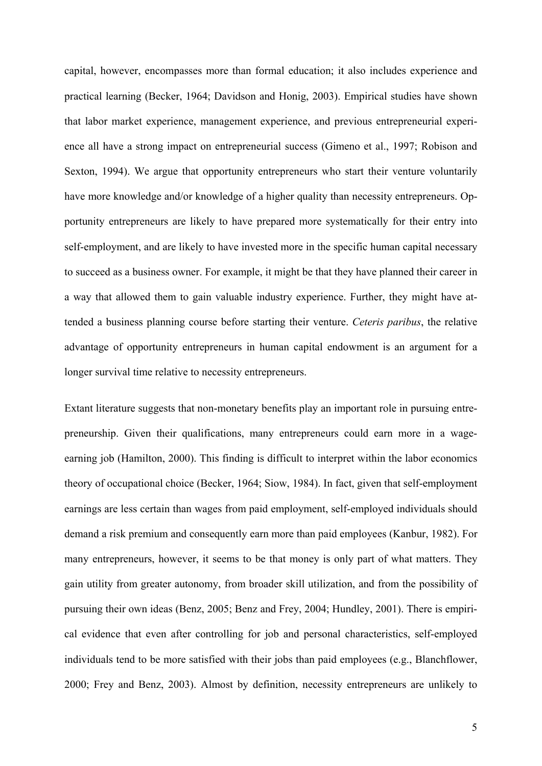capital, however, encompasses more than formal education; it also includes experience and practical learning (Becker, 1964; Davidson and Honig, 2003). Empirical studies have shown that labor market experience, management experience, and previous entrepreneurial experience all have a strong impact on entrepreneurial success (Gimeno et al., 1997; Robison and Sexton, 1994). We argue that opportunity entrepreneurs who start their venture voluntarily have more knowledge and/or knowledge of a higher quality than necessity entrepreneurs. Opportunity entrepreneurs are likely to have prepared more systematically for their entry into self-employment, and are likely to have invested more in the specific human capital necessary to succeed as a business owner. For example, it might be that they have planned their career in a way that allowed them to gain valuable industry experience. Further, they might have attended a business planning course before starting their venture. *Ceteris paribus*, the relative advantage of opportunity entrepreneurs in human capital endowment is an argument for a longer survival time relative to necessity entrepreneurs.

Extant literature suggests that non-monetary benefits play an important role in pursuing entrepreneurship. Given their qualifications, many entrepreneurs could earn more in a wageearning job (Hamilton, 2000). This finding is difficult to interpret within the labor economics theory of occupational choice (Becker, 1964; Siow, 1984). In fact, given that self-employment earnings are less certain than wages from paid employment, self-employed individuals should demand a risk premium and consequently earn more than paid employees (Kanbur, 1982). For many entrepreneurs, however, it seems to be that money is only part of what matters. They gain utility from greater autonomy, from broader skill utilization, and from the possibility of pursuing their own ideas (Benz, 2005; Benz and Frey, 2004; Hundley, 2001). There is empirical evidence that even after controlling for job and personal characteristics, self-employed individuals tend to be more satisfied with their jobs than paid employees (e.g., Blanchflower, 2000; Frey and Benz, 2003). Almost by definition, necessity entrepreneurs are unlikely to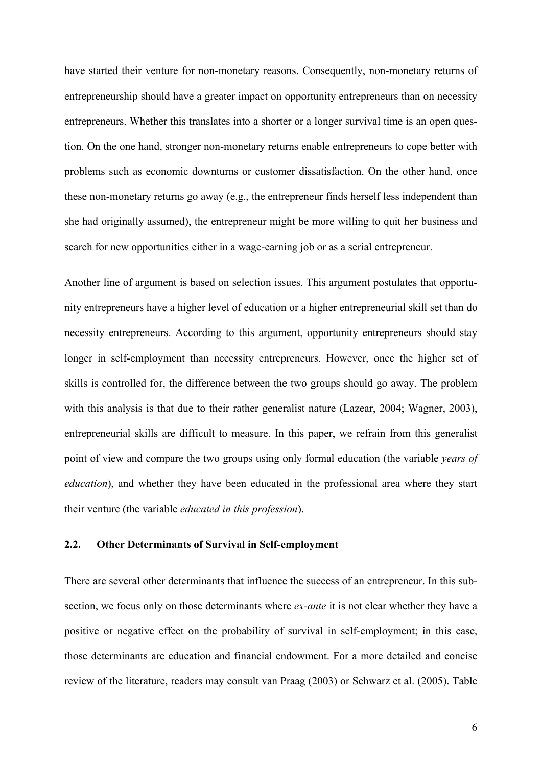have started their venture for non-monetary reasons. Consequently, non-monetary returns of entrepreneurship should have a greater impact on opportunity entrepreneurs than on necessity entrepreneurs. Whether this translates into a shorter or a longer survival time is an open question. On the one hand, stronger non-monetary returns enable entrepreneurs to cope better with problems such as economic downturns or customer dissatisfaction. On the other hand, once these non-monetary returns go away (e.g., the entrepreneur finds herself less independent than she had originally assumed), the entrepreneur might be more willing to quit her business and search for new opportunities either in a wage-earning job or as a serial entrepreneur.

Another line of argument is based on selection issues. This argument postulates that opportunity entrepreneurs have a higher level of education or a higher entrepreneurial skill set than do necessity entrepreneurs. According to this argument, opportunity entrepreneurs should stay longer in self-employment than necessity entrepreneurs. However, once the higher set of skills is controlled for, the difference between the two groups should go away. The problem with this analysis is that due to their rather generalist nature (Lazear, 2004; Wagner, 2003), entrepreneurial skills are difficult to measure. In this paper, we refrain from this generalist point of view and compare the two groups using only formal education (the variable *years of education*), and whether they have been educated in the professional area where they start their venture (the variable *educated in this profession*).

# **2.2. Other Determinants of Survival in Self-employment**

There are several other determinants that influence the success of an entrepreneur. In this subsection, we focus only on those determinants where *ex-ante* it is not clear whether they have a positive or negative effect on the probability of survival in self-employment; in this case, those determinants are education and financial endowment. For a more detailed and concise review of the literature, readers may consult van Praag (2003) or Schwarz et al. (2005). Table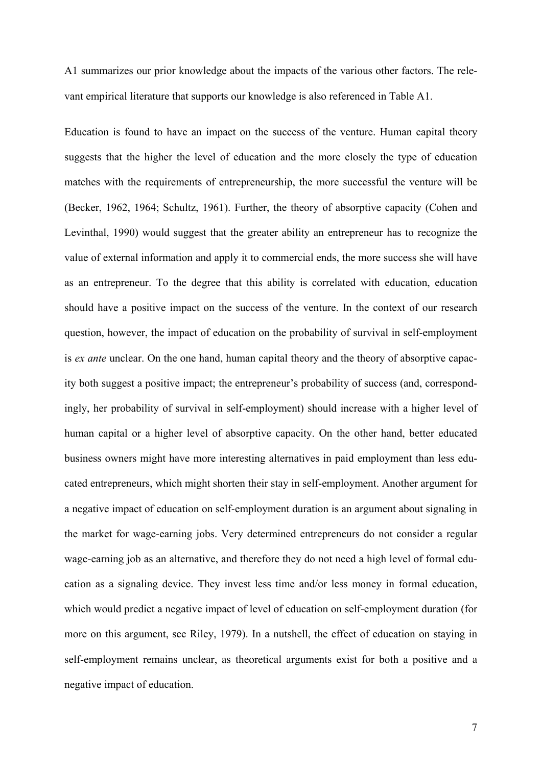A1 summarizes our prior knowledge about the impacts of the various other factors. The relevant empirical literature that supports our knowledge is also referenced in Table A1.

Education is found to have an impact on the success of the venture. Human capital theory suggests that the higher the level of education and the more closely the type of education matches with the requirements of entrepreneurship, the more successful the venture will be (Becker, 1962, 1964; Schultz, 1961). Further, the theory of absorptive capacity (Cohen and Levinthal, 1990) would suggest that the greater ability an entrepreneur has to recognize the value of external information and apply it to commercial ends, the more success she will have as an entrepreneur. To the degree that this ability is correlated with education, education should have a positive impact on the success of the venture. In the context of our research question, however, the impact of education on the probability of survival in self-employment is *ex ante* unclear. On the one hand, human capital theory and the theory of absorptive capacity both suggest a positive impact; the entrepreneur's probability of success (and, correspondingly, her probability of survival in self-employment) should increase with a higher level of human capital or a higher level of absorptive capacity. On the other hand, better educated business owners might have more interesting alternatives in paid employment than less educated entrepreneurs, which might shorten their stay in self-employment. Another argument for a negative impact of education on self-employment duration is an argument about signaling in the market for wage-earning jobs. Very determined entrepreneurs do not consider a regular wage-earning job as an alternative, and therefore they do not need a high level of formal education as a signaling device. They invest less time and/or less money in formal education, which would predict a negative impact of level of education on self-employment duration (for more on this argument, see Riley, 1979). In a nutshell, the effect of education on staying in self-employment remains unclear, as theoretical arguments exist for both a positive and a negative impact of education.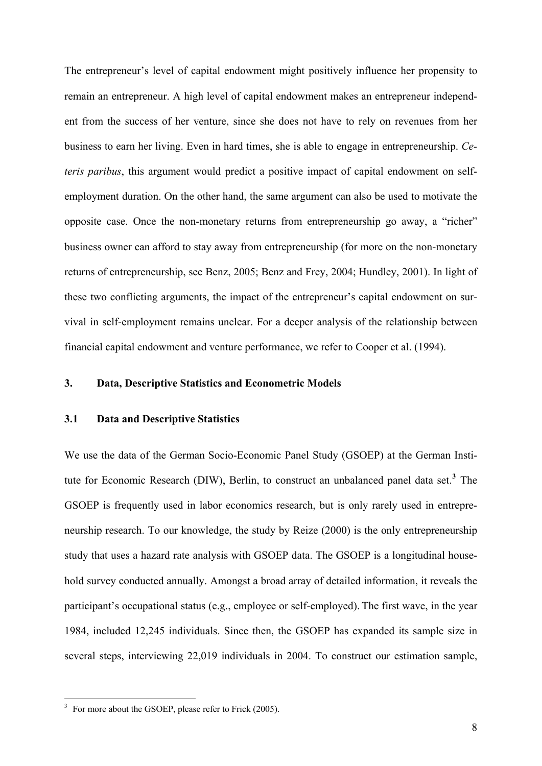The entrepreneur's level of capital endowment might positively influence her propensity to remain an entrepreneur. A high level of capital endowment makes an entrepreneur independent from the success of her venture, since she does not have to rely on revenues from her business to earn her living. Even in hard times, she is able to engage in entrepreneurship. *Ceteris paribus*, this argument would predict a positive impact of capital endowment on selfemployment duration. On the other hand, the same argument can also be used to motivate the opposite case. Once the non-monetary returns from entrepreneurship go away, a "richer" business owner can afford to stay away from entrepreneurship (for more on the non-monetary returns of entrepreneurship, see Benz, 2005; Benz and Frey, 2004; Hundley, 2001). In light of these two conflicting arguments, the impact of the entrepreneur's capital endowment on survival in self-employment remains unclear. For a deeper analysis of the relationship between financial capital endowment and venture performance, we refer to Cooper et al. (1994).

# **3. Data, Descriptive Statistics and Econometric Models**

# **3.1 Data and Descriptive Statistics**

We use the data of the German Socio-Economic Panel Study (GSOEP) at the German Institute for Economic Research (DIW), Berlin, to construct an unbalanced panel data set.**[3](#page-9-0)** The GSOEP is frequently used in labor economics research, but is only rarely used in entrepreneurship research. To our knowledge, the study by Reize (2000) is the only entrepreneurship study that uses a hazard rate analysis with GSOEP data. The GSOEP is a longitudinal household survey conducted annually. Amongst a broad array of detailed information, it reveals the participant's occupational status (e.g., employee or self-employed). The first wave, in the year 1984, included 12,245 individuals. Since then, the GSOEP has expanded its sample size in several steps, interviewing 22,019 individuals in 2004. To construct our estimation sample,

<span id="page-9-0"></span><sup>&</sup>lt;sup>3</sup> For more about the GSOEP, please refer to Frick (2005).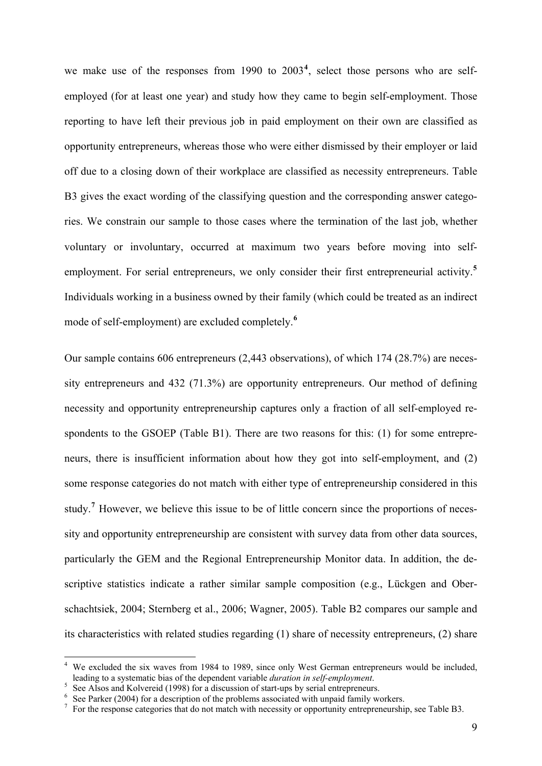<span id="page-10-0"></span>we make use of the responses from 1990 to 2003**[4](#page-10-0)** , select those persons who are selfemployed (for at least one year) and study how they came to begin self-employment. Those reporting to have left their previous job in paid employment on their own are classified as opportunity entrepreneurs, whereas those who were either dismissed by their employer or laid off due to a closing down of their workplace are classified as necessity entrepreneurs. Table B3 gives the exact wording of the classifying question and the corresponding answer categories. We constrain our sample to those cases where the termination of the last job, whether voluntary or involuntary, occurred at maximum two years before moving into selfemployment. For serial entrepreneurs, we only consider their first entrepreneurial activity.**[5](#page-10-0)** Individuals working in a business owned by their family (which could be treated as an indirect mode of self-employment) are excluded completely.**<sup>6</sup>**

Our sample contains 606 entrepreneurs (2,443 observations), of which 174 (28.7%) are necessity entrepreneurs and 432 (71.3%) are opportunity entrepreneurs. Our method of defining necessity and opportunity entrepreneurship captures only a fraction of all self-employed respondents to the GSOEP (Table B1). There are two reasons for this: (1) for some entrepreneurs, there is insufficient information about how they got into self-employment, and (2) some response categories do not match with either type of entrepreneurship considered in this study.<sup>[7](#page-10-0)</sup> However, we believe this issue to be of little concern since the proportions of necessity and opportunity entrepreneurship are consistent with survey data from other data sources, particularly the GEM and the Regional Entrepreneurship Monitor data. In addition, the descriptive statistics indicate a rather similar sample composition (e.g., Lückgen and Oberschachtsiek, 2004; Sternberg et al., 2006; Wagner, 2005). Table B2 compares our sample and its characteristics with related studies regarding (1) share of necessity entrepreneurs, (2) share

<sup>&</sup>lt;sup>4</sup> We excluded the six waves from 1984 to 1989, since only West German entrepreneurs would be included, leading to a systematic bias of the dependent variable *duration in self-employment*. 5 See Alsos and Kolvereid (1998) for a discussion of start-ups by serial entrepreneurs.

Equal to See Parker (2004) for a description of the problems associated with unpaid family workers.

<sup>&</sup>lt;sup>7</sup> For the response categories that do not match with necessity or opportunity entrepreneurship, see Table B3.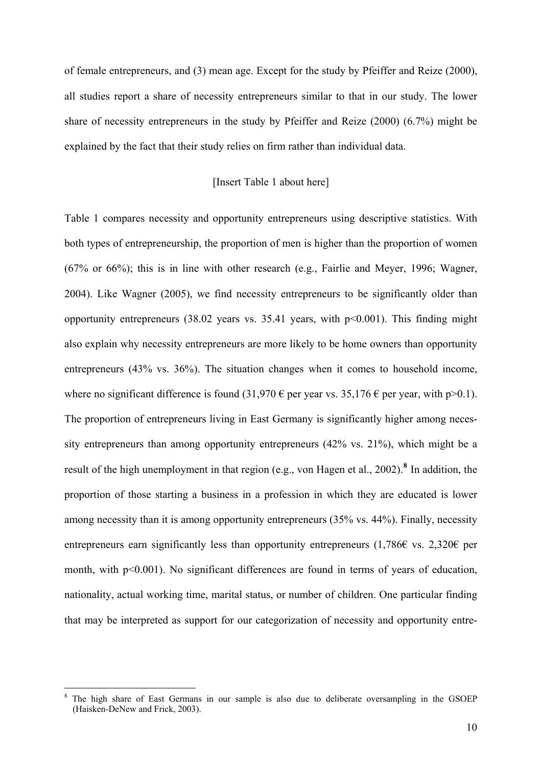<span id="page-11-0"></span>of female entrepreneurs, and (3) mean age. Except for the study by Pfeiffer and Reize (2000), all studies report a share of necessity entrepreneurs similar to that in our study. The lower share of necessity entrepreneurs in the study by Pfeiffer and Reize (2000) (6.7%) might be explained by the fact that their study relies on firm rather than individual data.

# [Insert Table 1 about here]

Table 1 compares necessity and opportunity entrepreneurs using descriptive statistics. With both types of entrepreneurship, the proportion of men is higher than the proportion of women (67% or 66%); this is in line with other research (e.g., Fairlie and Meyer, 1996; Wagner, 2004). Like Wagner (2005), we find necessity entrepreneurs to be significantly older than opportunity entrepreneurs  $(38.02 \text{ years} \text{ vs. } 35.41 \text{ years}, \text{ with } p \le 0.001)$ . This finding might also explain why necessity entrepreneurs are more likely to be home owners than opportunity entrepreneurs (43% vs. 36%). The situation changes when it comes to household income, where no significant difference is found  $(31.970 \text{ } \epsilon \text{ per year vs. } 35.176 \text{ } \epsilon \text{ per year, with } p > 0.1)$ . The proportion of entrepreneurs living in East Germany is significantly higher among necessity entrepreneurs than among opportunity entrepreneurs (42% vs. 21%), which might be a result of the high unemployment in that region (e.g., von Hagen et al., 2002).<sup>[8](#page-11-0)</sup> In addition, the proportion of those starting a business in a profession in which they are educated is lower among necessity than it is among opportunity entrepreneurs (35% vs. 44%). Finally, necessity entrepreneurs earn significantly less than opportunity entrepreneurs (1,786 $\epsilon$  vs. 2,320 $\epsilon$  per month, with p<0.001). No significant differences are found in terms of years of education, nationality, actual working time, marital status, or number of children. One particular finding that may be interpreted as support for our categorization of necessity and opportunity entre-

<sup>&</sup>lt;sup>8</sup> The high share of East Germans in our sample is also due to deliberate oversampling in the GSOEP (Haisken-DeNew and Frick, 2003).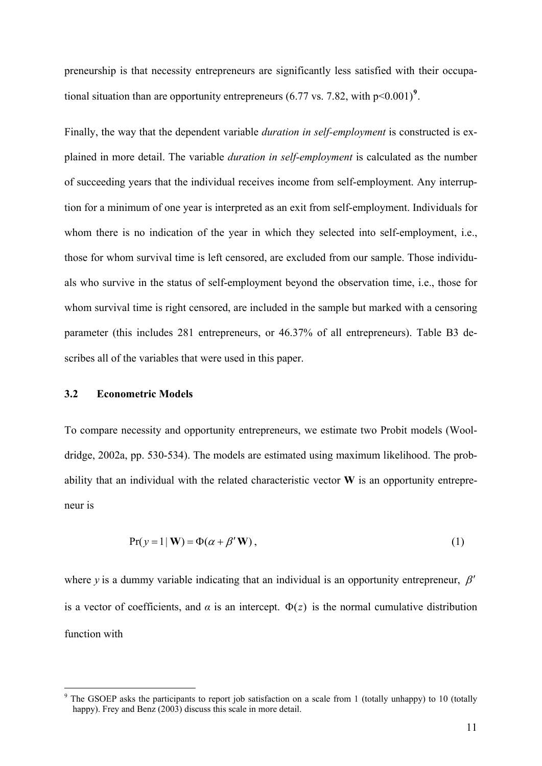<span id="page-12-0"></span>preneurship is that necessity entrepreneurs are significantly less satisfied with their occupational situation than are opportunity entrepreneurs  $(6.77 \text{ vs. } 7.82, \text{ with } p < 0.001)^9$  $(6.77 \text{ vs. } 7.82, \text{ with } p < 0.001)^9$ .

Finally, the way that the dependent variable *duration in self-employment* is constructed is explained in more detail. The variable *duration in self-employment* is calculated as the number of succeeding years that the individual receives income from self-employment. Any interruption for a minimum of one year is interpreted as an exit from self-employment. Individuals for whom there is no indication of the year in which they selected into self-employment, i.e., those for whom survival time is left censored, are excluded from our sample. Those individuals who survive in the status of self-employment beyond the observation time, i.e., those for whom survival time is right censored, are included in the sample but marked with a censoring parameter (this includes 281 entrepreneurs, or 46.37% of all entrepreneurs). Table B3 describes all of the variables that were used in this paper.

# **3.2 Econometric Models**

1

To compare necessity and opportunity entrepreneurs, we estimate two Probit models (Wooldridge, 2002a, pp. 530-534). The models are estimated using maximum likelihood. The probability that an individual with the related characteristic vector **W** is an opportunity entrepreneur is

$$
Pr(y=1 | W) = \Phi(\alpha + \beta' W), \qquad (1)
$$

where *y* is a dummy variable indicating that an individual is an opportunity entrepreneur,  $\beta'$ is a vector of coefficients, and  $\alpha$  is an intercept.  $\Phi(z)$  is the normal cumulative distribution function with

<sup>&</sup>lt;sup>9</sup> The GSOEP asks the participants to report job satisfaction on a scale from 1 (totally unhappy) to 10 (totally happy). Frey and Benz (2003) discuss this scale in more detail.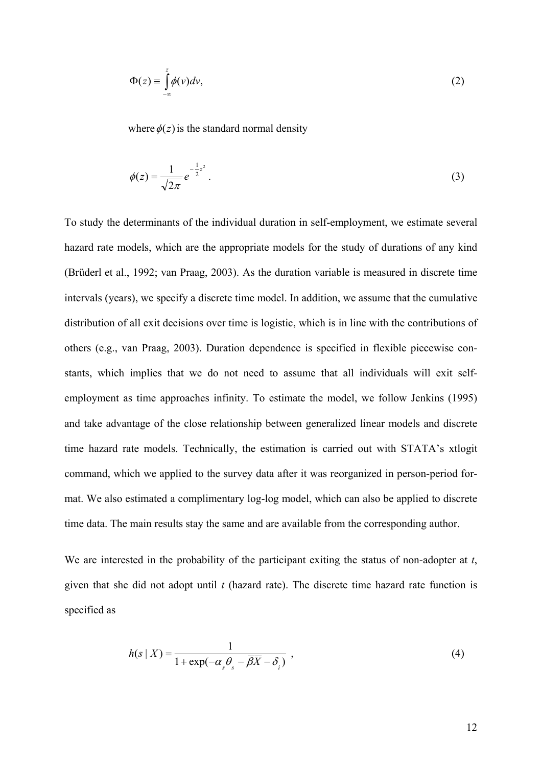$$
\Phi(z) \equiv \int_{-\infty}^{z} \phi(v) dv,
$$
\n(2)

where  $\phi(z)$  is the standard normal density

$$
\phi(z) = \frac{1}{\sqrt{2\pi}} e^{-\frac{1}{2}z^2}.
$$
\n(3)

To study the determinants of the individual duration in self-employment, we estimate several hazard rate models, which are the appropriate models for the study of durations of any kind (Brüderl et al., 1992; van Praag, 2003). As the duration variable is measured in discrete time intervals (years), we specify a discrete time model. In addition, we assume that the cumulative distribution of all exit decisions over time is logistic, which is in line with the contributions of others (e.g., van Praag, 2003). Duration dependence is specified in flexible piecewise constants, which implies that we do not need to assume that all individuals will exit selfemployment as time approaches infinity. To estimate the model, we follow Jenkins (1995) and take advantage of the close relationship between generalized linear models and discrete time hazard rate models. Technically, the estimation is carried out with STATA's xtlogit command, which we applied to the survey data after it was reorganized in person-period format. We also estimated a complimentary log-log model, which can also be applied to discrete time data. The main results stay the same and are available from the corresponding author.

We are interested in the probability of the participant exiting the status of non-adopter at *t*, given that she did not adopt until *t* (hazard rate). The discrete time hazard rate function is specified as

$$
h(s \mid X) = \frac{1}{1 + \exp(-\alpha_s \theta_s - \overline{\beta X} - \delta_i)},
$$
\n(4)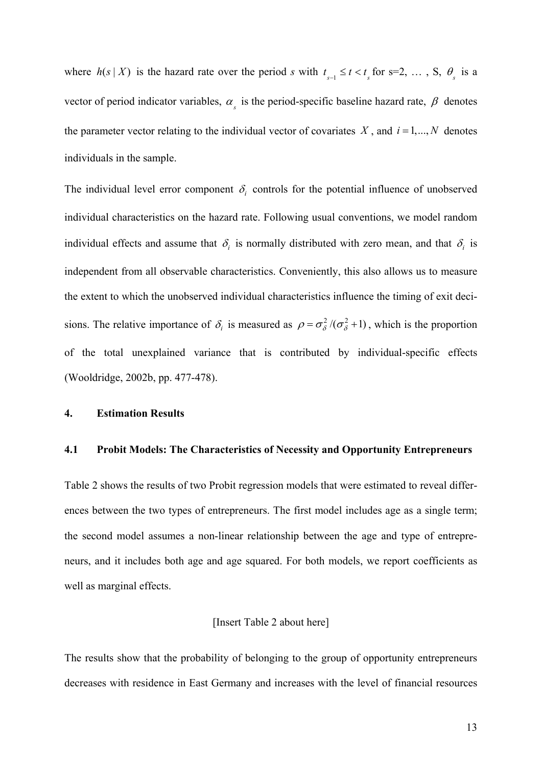where  $h(s \mid X)$  is the hazard rate over the period *s* with  $t_{s-1} \le t < t_{s}$  for s=2, ..., S,  $\theta_{s}$  is a vector of period indicator variables,  $\alpha_s$  is the period-specific baseline hazard rate,  $\beta$  denotes the parameter vector relating to the individual vector of covariates  $X$ , and  $i = 1,..., N$  denotes individuals in the sample.

The individual level error component  $\delta_i$  controls for the potential influence of unobserved individual characteristics on the hazard rate. Following usual conventions, we model random individual effects and assume that  $\delta_i$  is normally distributed with zero mean, and that  $\delta_i$  is independent from all observable characteristics. Conveniently, this also allows us to measure the extent to which the unobserved individual characteristics influence the timing of exit decisions. The relative importance of  $\delta_i$  is measured as  $\rho = \sigma_{\delta}^2/(\sigma_{\delta}^2 + 1)$ , which is the proportion of the total unexplained variance that is contributed by individual-specific effects (Wooldridge, 2002b, pp. 477-478).

# **4. Estimation Results**

#### **4.1 Probit Models: The Characteristics of Necessity and Opportunity Entrepreneurs**

Table 2 shows the results of two Probit regression models that were estimated to reveal differences between the two types of entrepreneurs. The first model includes age as a single term; the second model assumes a non-linear relationship between the age and type of entrepreneurs, and it includes both age and age squared. For both models, we report coefficients as well as marginal effects.

# [Insert Table 2 about here]

The results show that the probability of belonging to the group of opportunity entrepreneurs decreases with residence in East Germany and increases with the level of financial resources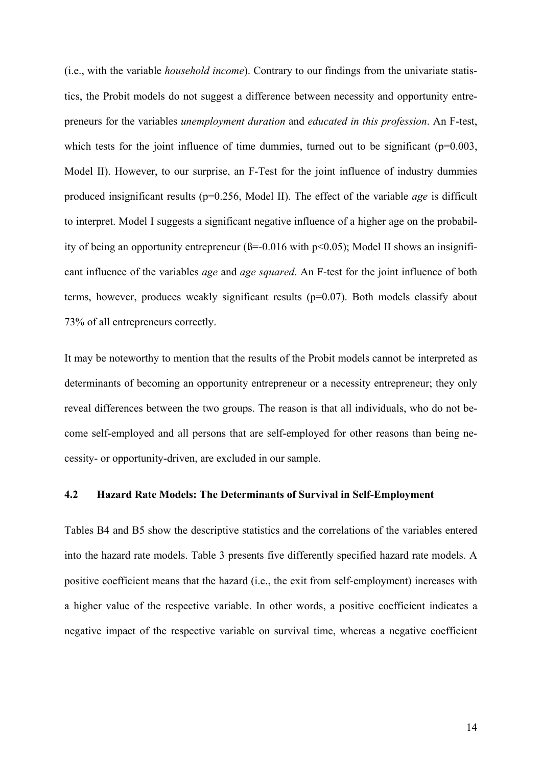(i.e., with the variable *household income*). Contrary to our findings from the univariate statistics, the Probit models do not suggest a difference between necessity and opportunity entrepreneurs for the variables *unemployment duration* and *educated in this profession*. An F-test, which tests for the joint influence of time dummies, turned out to be significant  $(p=0.003,$ Model II). However, to our surprise, an F-Test for the joint influence of industry dummies produced insignificant results (p=0.256, Model II). The effect of the variable *age* is difficult to interpret. Model I suggests a significant negative influence of a higher age on the probability of being an opportunity entrepreneur ( $\beta$ =-0.016 with p<0.05); Model II shows an insignificant influence of the variables *age* and *age squared*. An F-test for the joint influence of both terms, however, produces weakly significant results (p=0.07). Both models classify about 73% of all entrepreneurs correctly.

come self-employed and all persons that are self-employed for other reasons than being necessity- or opportunity-driven, are excluded in our sample. It may be noteworthy to mention that the results of the Probit models cannot be interpreted as determinants of becoming an opportunity entrepreneur or a necessity entrepreneur; they only reveal differences between the two groups. The reason is that all individuals, who do not be-

## **4.2 Hazard Rate Models: The Determinants of Survival in Self-Employment**

Tables B4 and B5 show the descriptive statistics and the correlations of the variables entered into the hazard rate models. Table 3 presents five differently specified hazard rate models. A positive coefficient means that the hazard (i.e., the exit from self-employment) increases with a higher value of the respective variable. In other words, a positive coefficient indicates a negative impact of the respective variable on survival time, whereas a negative coefficient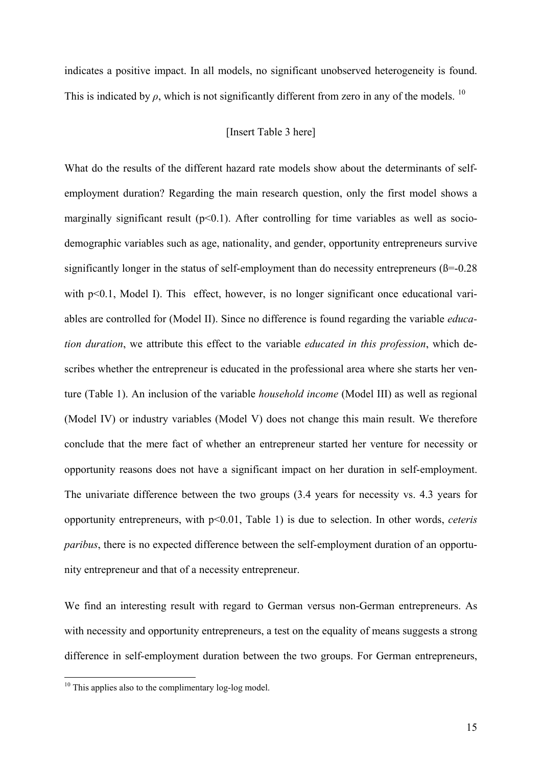indicates a positive impact. In all models, no significant unobserved heterogeneity is found. This is indicated by  $\rho$ , which is not significantly different from zero in any of the models. <sup>10</sup>

## [Insert Table 3 here]

What do the results of the different hazard rate models show about the determinants of selfemployment duration? Regarding the main research question, only the first model shows a marginally significant result  $(p<0.1)$ . After controlling for time variables as well as sociodemographic variables such as age, nationality, and gender, opportunity entrepreneurs survive significantly longer in the status of self-employment than do necessity entrepreneurs  $(\beta = 0.28)$ with p<0.1, Model I). This effect, however, is no longer significant once educational variables are controlled for (Model II). Since no difference is found regarding the variable *education duration*, we attribute this effect to the variable *educated in this profession*, which describes whether the entrepreneur is educated in the professional area where she starts her venture (Table 1). An inclusion of the variable *household income* (Model III) as well as regional (Model IV) or industry variables (Model V) does not change this main result. We therefore conclude that the mere fact of whether an entrepreneur started her venture for necessity or opportunity reasons does not have a significant impact on her duration in self-employment. The univariate difference between the two groups (3.4 years for necessity vs. 4.3 years for opportunity entrepreneurs, with p<0.01, Table 1) is due to selection. In other words, *ceteris paribus*, there is no expected difference between the self-employment duration of an opportunity entrepreneur and that of a necessity entrepreneur.

We find an interesting result with regard to German versus non-German entrepreneurs. As with necessity and opportunity entrepreneurs, a test on the equality of means suggests a strong difference in self-employment duration between the two groups. For German entrepreneurs,

 $10$  This applies also to the complimentary log-log model.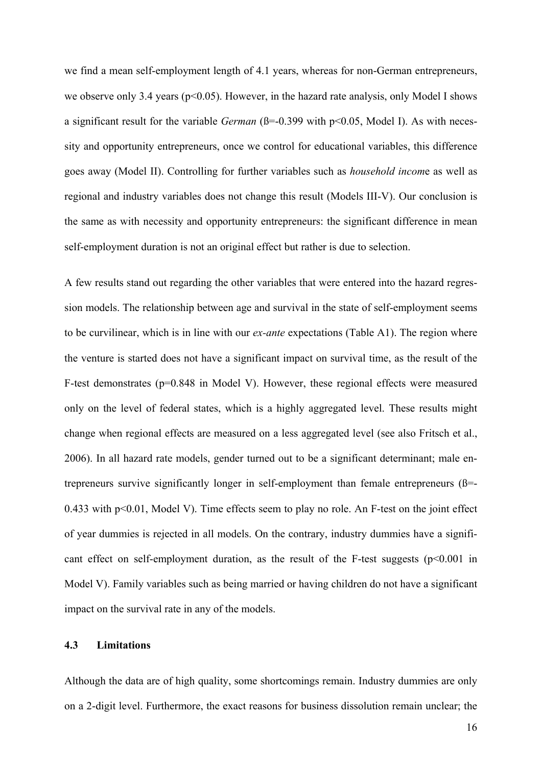we find a mean self-employment length of 4.1 years, whereas for non-German entrepreneurs, we observe only 3.4 years ( $p<0.05$ ). However, in the hazard rate analysis, only Model I shows a significant result for the variable *German* ( $\beta$ =-0.399 with p<0.05, Model I). As with necessity and opportunity entrepreneurs, once we control for educational variables, this difference goes away (Model II). Controlling for further variables such as *household incom*e as well as regional and industry variables does not change this result (Models III-V). Our conclusion is the same as with necessity and opportunity entrepreneurs: the significant difference in mean self-employment duration is not an original effect but rather is due to selection.

0.433 with  $p<0.01$ , Model V). Time effects seem to play no role. An F-test on the joint effect of year dummies is rejected in all models. On the contrary, industry dummies have a significant effect on self-employment duration, as the result of the F-test suggests  $(p<0.001$  in A few results stand out regarding the other variables that were entered into the hazard regression models. The relationship between age and survival in the state of self-employment seems to be curvilinear, which is in line with our *ex-ante* expectations (Table A1). The region where the venture is started does not have a significant impact on survival time, as the result of the F-test demonstrates (p=0.848 in Model V). However, these regional effects were measured only on the level of federal states, which is a highly aggregated level. These results might change when regional effects are measured on a less aggregated level (see also Fritsch et al., 2006). In all hazard rate models, gender turned out to be a significant determinant; male entrepreneurs survive significantly longer in self-employment than female entrepreneurs (ß=- Model V). Family variables such as being married or having children do not have a significant impact on the survival rate in any of the models.

# **4.3 Limitations**

Although the data are of high quality, some shortcomings remain. Industry dummies are only on a 2-digit level. Furthermore, the exact reasons for business dissolution remain unclear; the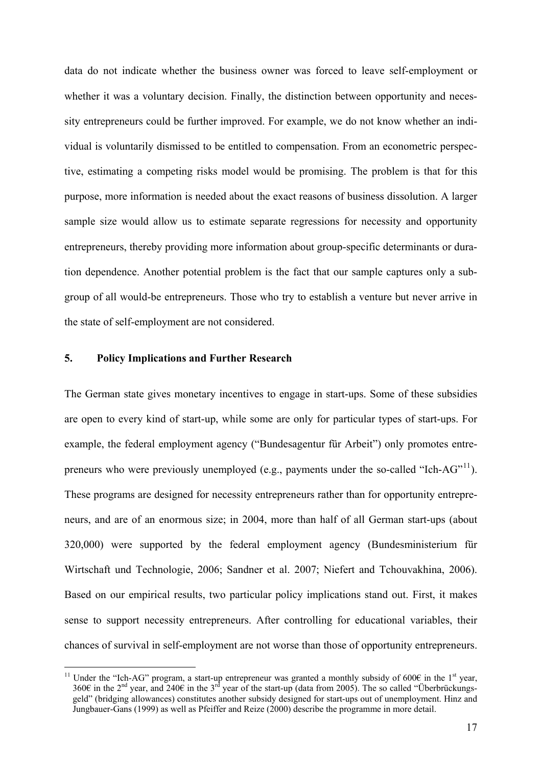<span id="page-18-0"></span>data do not indicate whether the business owner was forced to leave self-employment or whether it was a voluntary decision. Finally, the distinction between opportunity and necessity entrepreneurs could be further improved. For example, we do not know whether an individual is voluntarily dismissed to be entitled to compensation. From an econometric perspective, estimating a competing risks model would be promising. The problem is that for this purpose, more information is needed about the exact reasons of business dissolution. A larger sample size would allow us to estimate separate regressions for necessity and opportunity entrepreneurs, thereby providing more information about group-specific determinants or duration dependence. Another potential problem is the fact that our sample captures only a subgroup of all would-be entrepreneurs. Those who try to establish a venture but never arrive in the state of self-employment are not considered.

# **5. Policy Implications and Further Research**

1

The German state gives monetary incentives to engage in start-ups. Some of these subsidies are open to every kind of start-up, while some are only for particular types of start-ups. For example, the federal employment agency ("Bundesagentur für Arbeit") only promotes entre-preneurs who were previously unemployed (e.g., payments under the so-called "Ich-AG"<sup>[11](#page-18-0)</sup>). These programs are designed for necessity entrepreneurs rather than for opportunity entrepreneurs, and are of an enormous size; in 2004, more than half of all German start-ups (about 320,000) were supported by the federal employment agency (Bundesministerium für Wirtschaft und Technologie, 2006; Sandner et al. 2007; Niefert and Tchouvakhina, 2006). Based on our empirical results, two particular policy implications stand out. First, it makes sense to support necessity entrepreneurs. After controlling for educational variables, their chances of survival in self-employment are not worse than those of opportunity entrepreneurs.

<sup>&</sup>lt;sup>11</sup> Under the "Ich-AG" program, a start-up entrepreneur was granted a monthly subsidy of 600 $\epsilon$  in the 1<sup>st</sup> year, 360€ in the 2<sup>nd</sup> year, and 240€ in the 3<sup>rd</sup> year of the start-up (data from 2005). The so called "Überbrückungsgeld" (bridging allowances) constitutes another subsidy designed for start-ups out of unemployment. Hinz and Jungbauer-Gans (1999) as well as Pfeiffer and Reize (2000) describe the programme in more detail.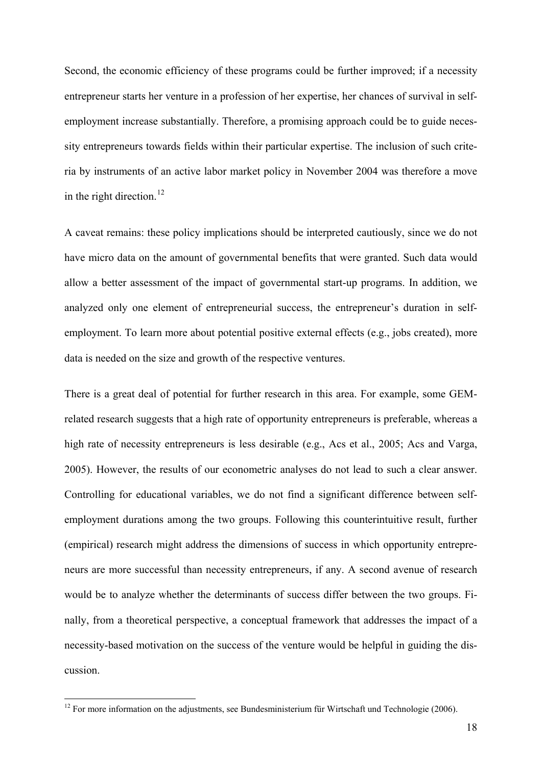Second, the economic efficiency of these programs could be further improved; if a necessity entrepreneur starts her venture in a profession of her expertise, her chances of survival in selfemployment increase substantially. Therefore, a promising approach could be to guide necessity entrepreneurs towards fields within their particular expertise. The inclusion of such criteria by instruments of an active labor market policy in November 2004 was therefore a move in the right direction.<sup>12</sup>

have micro data on the amount of governmental benefits that were granted. Such data would allow a better assessment of the impact of governmental start-up programs. In addition, we analyzed only one element of entrepreneurial success, the entrepreneur's duration in selfemployment. To learn more about potential positive external effects (e.g., jobs created), more data is needed on the size and growth of the respective ventures. A caveat remains: these policy implications should be interpreted cautiously, since we do not

neurs are more successful than necessity entrepreneurs, if any. A second avenue of research would be to analyze whether the determinants of success differ between the two groups. Finally, from a theoretical perspective, a conceptual framework that addresses the impact of a necessity-based motivation on the success of the venture would be helpful in guiding the dis-There is a great deal of potential for further research in this area. For example, some GEMrelated research suggests that a high rate of opportunity entrepreneurs is preferable, whereas a high rate of necessity entrepreneurs is less desirable (e.g., Acs et al., 2005; Acs and Varga, 2005). However, the results of our econometric analyses do not lead to such a clear answer. Controlling for educational variables, we do not find a significant difference between selfemployment durations among the two groups. Following this counterintuitive result, further (empirical) research might address the dimensions of success in which opportunity entreprecussion.

 $12$  For more information on the adjustments, see Bundesministerium für Wirtschaft und Technologie (2006).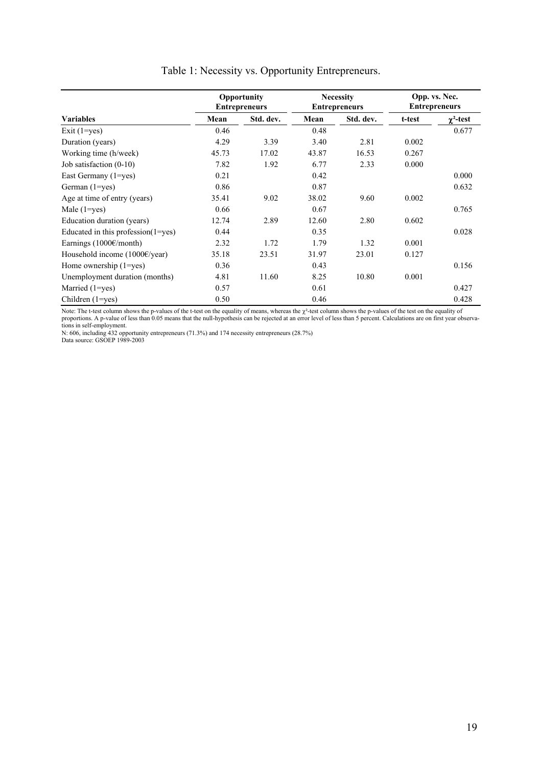|                                         |       | Opportunity<br><b>Entrepreneurs</b> |       | <b>Necessity</b><br><b>Entrepreneurs</b> | Opp. vs. Nec.<br><b>Entrepreneurs</b> |                  |
|-----------------------------------------|-------|-------------------------------------|-------|------------------------------------------|---------------------------------------|------------------|
| <b>Variables</b>                        | Mean  | Std. dev.                           | Mean  | Std. dev.                                | t-test                                | $\gamma^2$ -test |
| Exit $(1 = yes)$                        | 0.46  |                                     | 0.48  |                                          |                                       | 0.677            |
| Duration (years)                        | 4.29  | 3.39                                | 3.40  | 2.81                                     | 0.002                                 |                  |
| Working time (h/week)                   | 45.73 | 17.02                               | 43.87 | 16.53                                    | 0.267                                 |                  |
| Job satisfaction $(0-10)$               | 7.82  | 1.92                                | 6.77  | 2.33                                     | 0.000                                 |                  |
| East Germany (1=yes)                    | 0.21  |                                     | 0.42  |                                          |                                       | 0.000            |
| German (1=yes)                          | 0.86  |                                     | 0.87  |                                          |                                       | 0.632            |
| Age at time of entry (years)            | 35.41 | 9.02                                | 38.02 | 9.60                                     | 0.002                                 |                  |
| Male $(1 = yes)$                        | 0.66  |                                     | 0.67  |                                          |                                       | 0.765            |
| Education duration (years)              | 12.74 | 2.89                                | 12.60 | 2.80                                     | 0.602                                 |                  |
| Educated in this profession $(1 = yes)$ | 0.44  |                                     | 0.35  |                                          |                                       | 0.028            |
| Earnings $(1000 \text{€/month})$        | 2.32  | 1.72                                | 1.79  | 1.32                                     | 0.001                                 |                  |
| Household income $(1000 \text{E/year})$ | 35.18 | 23.51                               | 31.97 | 23.01                                    | 0.127                                 |                  |
| Home ownership (1=yes)                  | 0.36  |                                     | 0.43  |                                          |                                       | 0.156            |
| Unemployment duration (months)          | 4.81  | 11.60                               | 8.25  | 10.80                                    | 0.001                                 |                  |
| Married $(1 = yes)$                     | 0.57  |                                     | 0.61  |                                          |                                       | 0.427            |
| Children $(1 = yes)$                    | 0.50  |                                     | 0.46  |                                          |                                       | 0.428            |

#### Table 1: Necessity vs. Opportunity Entrepreneurs.

Note: The t-test column shows the p-values of the t-test on the equality of means, whereas the χ<sup>2</sup>-test column shows the p-values of the test on the equality of proportions. A p-value of less than 0.05 means that the null-hypothesis can be rejected at an error level of less than 5 percent. Calculations are on first year observations in self-employment.

N: 606, including 432 opportunity entrepreneurs (71.3%) and 174 necessity entrepreneurs (28.7%)

Data source: GSOEP 1989-2003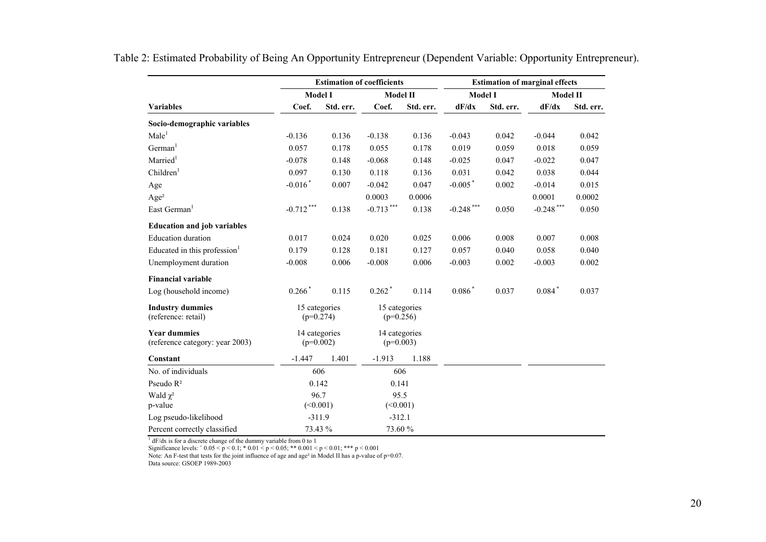|                                                        |                              |           | <b>Estimation of coefficients</b> |           | <b>Estimation of marginal effects</b> |           |                 |           |  |
|--------------------------------------------------------|------------------------------|-----------|-----------------------------------|-----------|---------------------------------------|-----------|-----------------|-----------|--|
|                                                        | <b>Model I</b>               |           | <b>Model II</b>                   |           | <b>Model I</b>                        |           | <b>Model II</b> |           |  |
| <b>Variables</b>                                       | Coef.                        | Std. err. | Coef.                             | Std. err. | dF/dx                                 | Std. err. | dF/dx           | Std. err. |  |
| Socio-demographic variables                            |                              |           |                                   |           |                                       |           |                 |           |  |
| Male <sup>1</sup>                                      | $-0.136$                     | 0.136     | $-0.138$                          | 0.136     | $-0.043$                              | 0.042     | $-0.044$        | 0.042     |  |
| German <sup>1</sup>                                    | 0.057                        | 0.178     | 0.055                             | 0.178     | 0.019                                 | 0.059     | 0.018           | 0.059     |  |
| Married <sup>1</sup>                                   | $-0.078$                     | 0.148     | $-0.068$                          | 0.148     | $-0.025$                              | 0.047     | $-0.022$        | 0.047     |  |
| Children <sup>1</sup>                                  | 0.097                        | 0.130     | 0.118                             | 0.136     | 0.031                                 | 0.042     | 0.038           | 0.044     |  |
| Age                                                    | $-0.016*$                    | 0.007     | $-0.042$                          | 0.047     | $-0.005$ <sup>*</sup>                 | 0.002     | $-0.014$        | 0.015     |  |
| Age <sup>2</sup>                                       |                              |           | 0.0003                            | 0.0006    |                                       |           | 0.0001          | 0.0002    |  |
| East German <sup>1</sup>                               | $-0.712$ ***                 | 0.138     | $-0.713***$                       | 0.138     | $\textbf{-0.248}^{\ast\ast\ast}$      | 0.050     | $-0.248$ ***    | 0.050     |  |
| <b>Education and job variables</b>                     |                              |           |                                   |           |                                       |           |                 |           |  |
| <b>Education duration</b>                              | 0.017                        | 0.024     | 0.020                             | 0.025     | 0.006                                 | 0.008     | 0.007           | 0.008     |  |
| Educated in this profession $1$                        | 0.179                        | 0.128     | 0.181                             | 0.127     | 0.057                                 | 0.040     | 0.058           | 0.040     |  |
| Unemployment duration                                  | $-0.008$                     | 0.006     | $-0.008$                          | 0.006     | $-0.003$                              | 0.002     | $-0.003$        | 0.002     |  |
| <b>Financial variable</b>                              |                              |           |                                   |           |                                       |           |                 |           |  |
| Log (household income)                                 | $0.266*$                     | 0.115     | $0.262$ <sup>*</sup>              | 0.114     | $0.086*$                              | 0.037     | $0.084*$        | 0.037     |  |
| <b>Industry dummies</b><br>(reference: retail)         | 15 categories<br>$(p=0.274)$ |           | 15 categories<br>$(p=0.256)$      |           |                                       |           |                 |           |  |
| <b>Year dummies</b><br>(reference category: year 2003) | 14 categories<br>$(p=0.002)$ |           | 14 categories<br>$(p=0.003)$      |           |                                       |           |                 |           |  |
| Constant                                               | $-1.447$                     | 1.401     | $-1.913$                          | 1.188     |                                       |           |                 |           |  |
| No. of individuals                                     | 606                          |           | 606                               |           |                                       |           |                 |           |  |
| Pseudo R <sup>2</sup>                                  | 0.142                        |           | 0.141                             |           |                                       |           |                 |           |  |
| Wald $\chi^2$<br>p-value                               | 96.7<br>(<0.001)             |           | 95.5<br>(<0.001)                  |           |                                       |           |                 |           |  |
| Log pseudo-likelihood                                  | $-311.9$                     |           | $-312.1$                          |           |                                       |           |                 |           |  |
| Percent correctly classified                           | 73.43 %                      |           | 73.60 %                           |           |                                       |           |                 |           |  |

Table 2: Estimated Probability of Being An Opportunity Entrepreneur (Dependent Variable: Opportunity Entrepreneur).

 $1 dF/dx$  is for a discrete change of the dummy variable from 0 to 1

Significance levels:  $+0.05 \le p \le 0.1$ ;  $+0.01 \le p \le 0.05$ ;  $** 0.001 \le p \le 0.01$ ;  $*** p \le 0.001$ 

Note: An F-test that tests for the joint influence of age and age<sup>2</sup> in Model II has a p-value of  $p=0.07$ .

Data source: GSOEP 1989-2003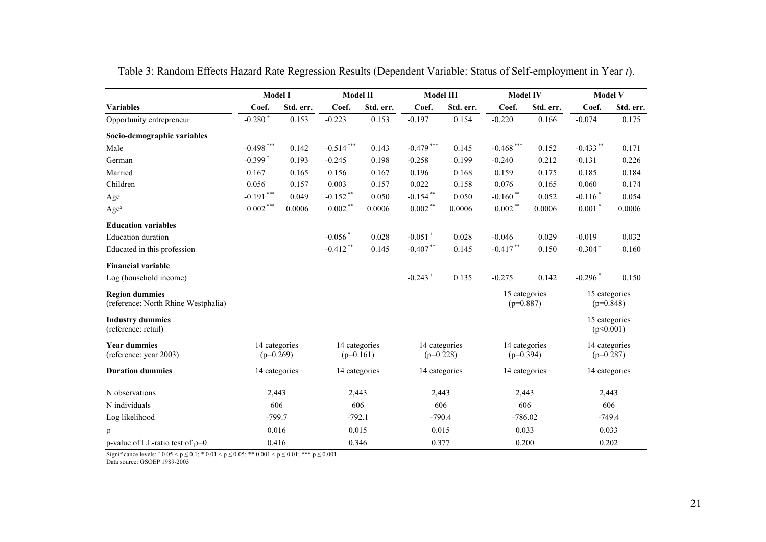|                                                              | <b>Model I</b>               |           |                              | Model II  |                              | Model III |                              | <b>Model IV</b> | <b>Model V</b> |                              |
|--------------------------------------------------------------|------------------------------|-----------|------------------------------|-----------|------------------------------|-----------|------------------------------|-----------------|----------------|------------------------------|
| <b>Variables</b>                                             | Coef.                        | Std. err. | Coef.                        | Std. err. | Coef.                        | Std. err. | Coef.                        | Std. err.       | Coef.          | Std. err.                    |
| Opportunity entrepreneur                                     | $-0.280 +$                   | 0.153     | $-0.223$                     | 0.153     | $-0.197$                     | 0.154     | $-0.220$                     | 0.166           | $-0.074$       | 0.175                        |
| Socio-demographic variables                                  |                              |           |                              |           |                              |           |                              |                 |                |                              |
| Male                                                         | $-0.498$ ***                 | 0.142     | $-0.514***$                  | 0.143     | $-0.479$ ***                 | 0.145     | $-0.468$ ***                 | 0.152           | $-0.433$ **    | 0.171                        |
| German                                                       | $-0.399$ <sup>*</sup>        | 0.193     | $-0.245$                     | 0.198     | $-0.258$                     | 0.199     | $-0.240$                     | 0.212           | $-0.131$       | 0.226                        |
| Married                                                      | 0.167                        | 0.165     | 0.156                        | 0.167     | 0.196                        | 0.168     | 0.159                        | 0.175           | 0.185          | 0.184                        |
| Children                                                     | 0.056                        | 0.157     | 0.003                        | 0.157     | 0.022                        | 0.158     | 0.076                        | 0.165           | 0.060          | 0.174                        |
| Age                                                          | $-0.191$ ***                 | 0.049     | $-0.152$ **                  | 0.050     | $-0.154$ **                  | 0.050     | $-0.160$ **                  | 0.052           | $-0.116*$      | 0.054                        |
| Age <sup>2</sup>                                             | $0.002\,***$                 | 0.0006    | $0.002***$                   | 0.0006    | $0.002$ **                   | 0.0006    | $0.002**$                    | 0.0006          | $0.001*$       | 0.0006                       |
| <b>Education variables</b>                                   |                              |           |                              |           |                              |           |                              |                 |                |                              |
| <b>Education</b> duration                                    |                              |           | $-0.056$ <sup>*</sup>        | 0.028     | $-0.051$ <sup>+</sup>        | 0.028     | $-0.046$                     | 0.029           | $-0.019$       | 0.032                        |
| Educated in this profession                                  |                              |           | $-0.412$ **                  | 0.145     | $-0.407**$                   | 0.145     | $-0.417$ **                  | 0.150           | $-0.304 +$     | 0.160                        |
| <b>Financial variable</b>                                    |                              |           |                              |           |                              |           |                              |                 |                |                              |
| Log (household income)                                       |                              |           |                              |           | $-0.243 +$                   | 0.135     | $-0.275+$                    | 0.142           | $-0.296*$      | 0.150                        |
| <b>Region dummies</b><br>(reference: North Rhine Westphalia) |                              |           |                              |           |                              |           | 15 categories<br>$(p=0.887)$ |                 |                | 15 categories<br>$(p=0.848)$ |
| <b>Industry dummies</b><br>(reference: retail)               |                              |           |                              |           |                              |           |                              |                 |                | 15 categories<br>(p<0.001)   |
| <b>Year dummies</b><br>(reference: year 2003)                | 14 categories<br>$(p=0.269)$ |           | 14 categories<br>$(p=0.161)$ |           | 14 categories<br>$(p=0.228)$ |           | 14 categories<br>$(p=0.394)$ |                 |                | 14 categories<br>$(p=0.287)$ |
| <b>Duration dummies</b>                                      | 14 categories                |           | 14 categories                |           | 14 categories                |           | 14 categories                |                 |                | 14 categories                |
| N observations                                               | 2,443                        |           | 2,443                        |           | 2,443                        |           | 2,443                        |                 |                | 2,443                        |
| N individuals                                                | 606                          |           | 606                          |           | 606                          |           | 606                          |                 |                | 606                          |
| Log likelihood                                               | $-799.7$                     |           | $-792.1$                     |           | $-790.4$                     |           | $-786.02$                    |                 |                | $-749.4$                     |
| $\rho$                                                       | 0.016                        |           | 0.015                        |           | 0.015                        |           | 0.033                        |                 |                | 0.033                        |
| p-value of LL-ratio test of $p=0$                            | 0.416                        |           | 0.346                        |           | 0.377                        |           | 0.200                        |                 |                | 0.202                        |

Table 3: Random Effects Hazard Rate Regression Results (Dependent Variable: Status of Self-employment in Year *t*).

Significance levels:  $^+0.05 \le p \le 0.1$ ; \*  $0.01 \le p \le 0.05$ ; \*\*  $0.001 \le p \le 0.01$ ; \*\*\*  $p \le 0.001$ Data source: GSOEP 1989-2003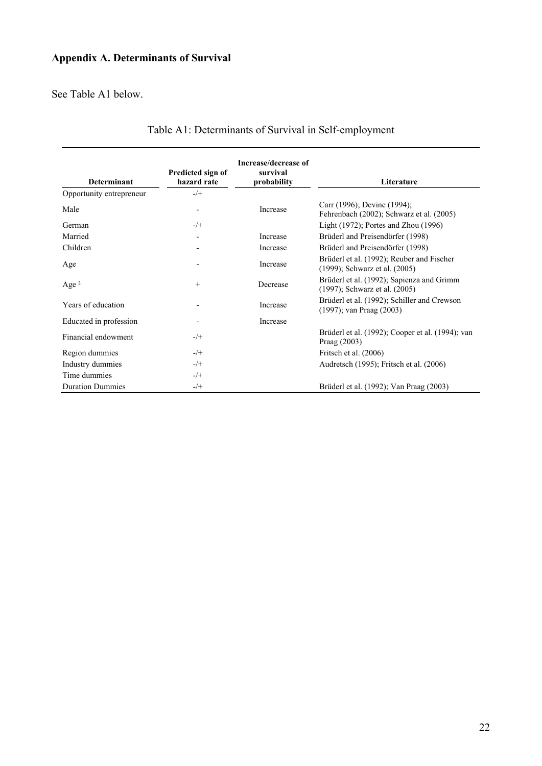# **Appendix A. Determinants of Survival**

See Table A1 below.

| <b>Determinant</b>       | Predicted sign of<br>hazard rate | Increase/decrease of<br>survival<br>probability | Literature                                                                   |
|--------------------------|----------------------------------|-------------------------------------------------|------------------------------------------------------------------------------|
| Opportunity entrepreneur | $-/+$                            |                                                 |                                                                              |
| Male                     | $\overline{\phantom{a}}$         | Increase                                        | Carr (1996); Devine (1994);<br>Fehrenbach (2002); Schwarz et al. (2005)      |
| German                   | $-$ /+                           |                                                 | Light $(1972)$ ; Portes and Zhou $(1996)$                                    |
| Married                  | $\overline{\phantom{a}}$         | Increase                                        | Brüderl and Preisendörfer (1998)                                             |
| Children                 | $\overline{\phantom{a}}$         | Increase                                        | Brüderl and Preisendörfer (1998)                                             |
| Age                      |                                  | Increase                                        | Brüderl et al. (1992); Reuber and Fischer<br>(1999); Schwarz et al. (2005)   |
| Age $^2$                 | $^{+}$                           | Decrease                                        | Brüderl et al. (1992); Sapienza and Grimm<br>(1997); Schwarz et al. (2005)   |
| Years of education       | $\overline{\phantom{a}}$         | Increase                                        | Brüderl et al. (1992); Schiller and Crewson<br>$(1997)$ ; van Praag $(2003)$ |
| Educated in profession   | $\overline{\phantom{a}}$         | Increase                                        |                                                                              |
| Financial endowment      | $-/+$                            |                                                 | Brüderl et al. (1992); Cooper et al. (1994); van<br>Praag (2003)             |
| Region dummies           | $-$ /+                           |                                                 | Fritsch et al. (2006)                                                        |
| Industry dummies         | $-$ /+                           |                                                 | Audretsch (1995); Fritsch et al. (2006)                                      |
| Time dummies             | $-$ /+                           |                                                 |                                                                              |
| <b>Duration Dummies</b>  | $-$ /+                           |                                                 | Brüderl et al. (1992); Van Praag (2003)                                      |

# Table A1: Determinants of Survival in Self-employment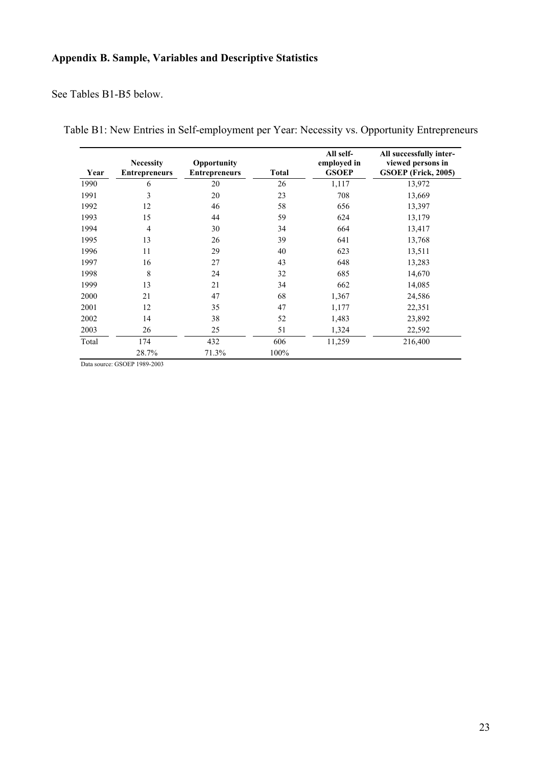# **Appendix B. Sample, Variables and Descriptive Statistics**

See Tables B1-B5 below.

|  |  |  |  |  |  | Table B1: New Entries in Self-employment per Year: Necessity vs. Opportunity Entrepreneurs |  |
|--|--|--|--|--|--|--------------------------------------------------------------------------------------------|--|
|  |  |  |  |  |  |                                                                                            |  |

| Year  | <b>Necessity</b><br><b>Entrepreneurs</b> | Opportunity<br><b>Entrepreneurs</b> | <b>Total</b> | All self-<br>employed in<br><b>GSOEP</b> | All successfully inter-<br>viewed persons in<br>GSOEP (Frick, 2005) |
|-------|------------------------------------------|-------------------------------------|--------------|------------------------------------------|---------------------------------------------------------------------|
| 1990  | 6                                        | 20                                  | 26           | 1,117                                    | 13,972                                                              |
| 1991  | 3                                        | 20                                  | 23           | 708                                      | 13,669                                                              |
| 1992  | 12                                       | 46                                  | 58           | 656                                      | 13,397                                                              |
| 1993  | 15                                       | 44                                  | 59           | 624                                      | 13,179                                                              |
| 1994  | $\overline{4}$                           | 30                                  | 34           | 664                                      | 13,417                                                              |
| 1995  | 13                                       | 26                                  | 39           | 641                                      | 13,768                                                              |
| 1996  | 11                                       | 29                                  | 40           | 623                                      | 13,511                                                              |
| 1997  | 16                                       | 27                                  | 43           | 648                                      | 13,283                                                              |
| 1998  | 8                                        | 24                                  | 32           | 685                                      | 14,670                                                              |
| 1999  | 13                                       | 21                                  | 34           | 662                                      | 14,085                                                              |
| 2000  | 21                                       | 47                                  | 68           | 1,367                                    | 24,586                                                              |
| 2001  | 12                                       | 35                                  | 47           | 1,177                                    | 22,351                                                              |
| 2002  | 14                                       | 38                                  | 52           | 1,483                                    | 23,892                                                              |
| 2003  | 26                                       | 25                                  | 51           | 1,324                                    | 22,592                                                              |
| Total | 174                                      | 432                                 | 606          | 11,259                                   | 216,400                                                             |
|       | 28.7%                                    | 71.3%                               | 100%         |                                          |                                                                     |
|       | 0000010000000                            |                                     |              |                                          |                                                                     |

Data source: GSOEP 1989-2003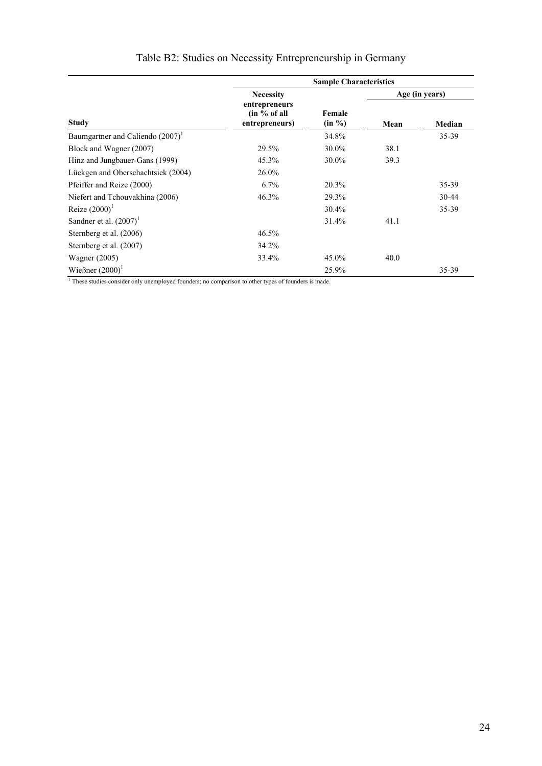|                                                  | <b>Sample Characteristics</b> |                                                                                                                 |                |
|--------------------------------------------------|-------------------------------|-----------------------------------------------------------------------------------------------------------------|----------------|
| <b>Necessity</b>                                 |                               |                                                                                                                 | Age (in years) |
| entrepreneurs<br>(in % of all)<br>entrepreneurs) | Female<br>(in %)              | Mean                                                                                                            | Median         |
|                                                  | 34.8%                         |                                                                                                                 | 35-39          |
| 29.5%                                            | 30.0%                         | 38.1                                                                                                            |                |
| 45.3%                                            | 30.0%                         | 39.3                                                                                                            |                |
| 26.0%                                            |                               |                                                                                                                 |                |
| 6.7%                                             | 20.3%                         |                                                                                                                 | 35-39          |
| 46.3%                                            | 29.3%                         |                                                                                                                 | $30 - 44$      |
|                                                  | 30.4%                         |                                                                                                                 | 35-39          |
|                                                  | 31.4%                         | 41.1                                                                                                            |                |
| 46.5%                                            |                               |                                                                                                                 |                |
| 34.2%                                            |                               |                                                                                                                 |                |
| 33.4%                                            | 45.0%                         | 40.0                                                                                                            |                |
|                                                  | 25.9%                         |                                                                                                                 | 35-39          |
|                                                  |                               | <sup>1</sup> These studies consider only unemployed founders; no comparison to other types of founders is made. |                |

# Table B2: Studies on Necessity Entrepreneurship in Germany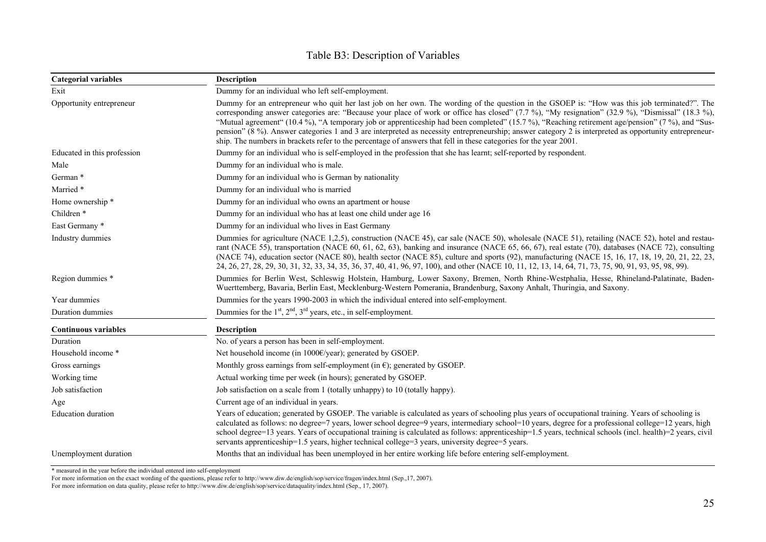| <b>Categorial variables</b> | <b>Description</b>                                                                                                                                                                                                                                                                                                                                                                                                                                                                                                                                                                                                                                                                                                                  |  |  |  |  |  |  |  |
|-----------------------------|-------------------------------------------------------------------------------------------------------------------------------------------------------------------------------------------------------------------------------------------------------------------------------------------------------------------------------------------------------------------------------------------------------------------------------------------------------------------------------------------------------------------------------------------------------------------------------------------------------------------------------------------------------------------------------------------------------------------------------------|--|--|--|--|--|--|--|
| Exit                        | Dummy for an individual who left self-employment.                                                                                                                                                                                                                                                                                                                                                                                                                                                                                                                                                                                                                                                                                   |  |  |  |  |  |  |  |
| Opportunity entrepreneur    | Dummy for an entrepreneur who quit her last job on her own. The wording of the question in the GSOEP is: "How was this job terminated?". The<br>corresponding answer categories are: "Because your place of work or office has closed" (7.7 %), "My resignation" (32.9 %), "Dismissal" (18.3 %),<br>"Mutual agreement" (10.4 %), "A temporary job or apprenticeship had been completed" (15.7 %), "Reaching retirement age/pension" (7 %), and "Sus-<br>pension" (8 %). Answer categories 1 and 3 are interpreted as necessity entrepreneurship; answer category 2 is interpreted as opportunity entrepreneur-<br>ship. The numbers in brackets refer to the percentage of answers that fell in these categories for the year 2001. |  |  |  |  |  |  |  |
| Educated in this profession | Dummy for an individual who is self-employed in the profession that she has learnt; self-reported by respondent.                                                                                                                                                                                                                                                                                                                                                                                                                                                                                                                                                                                                                    |  |  |  |  |  |  |  |
| Male                        | Dummy for an individual who is male.                                                                                                                                                                                                                                                                                                                                                                                                                                                                                                                                                                                                                                                                                                |  |  |  |  |  |  |  |
| German *                    | Dummy for an individual who is German by nationality                                                                                                                                                                                                                                                                                                                                                                                                                                                                                                                                                                                                                                                                                |  |  |  |  |  |  |  |
| Married *                   | Dummy for an individual who is married                                                                                                                                                                                                                                                                                                                                                                                                                                                                                                                                                                                                                                                                                              |  |  |  |  |  |  |  |
| Home ownership *            | Dummy for an individual who owns an apartment or house                                                                                                                                                                                                                                                                                                                                                                                                                                                                                                                                                                                                                                                                              |  |  |  |  |  |  |  |
| Children <sup>*</sup>       | Dummy for an individual who has at least one child under age 16                                                                                                                                                                                                                                                                                                                                                                                                                                                                                                                                                                                                                                                                     |  |  |  |  |  |  |  |
| East Germany *              | Dummy for an individual who lives in East Germany                                                                                                                                                                                                                                                                                                                                                                                                                                                                                                                                                                                                                                                                                   |  |  |  |  |  |  |  |
| Industry dummies            | Dummies for agriculture (NACE 1,2,5), construction (NACE 45), car sale (NACE 50), wholesale (NACE 51), retailing (NACE 52), hotel and restau-<br>rant (NACE 55), transportation (NACE 60, 61, 62, 63), banking and insurance (NACE 65, 66, 67), real estate (70), databases (NACE 72), consulting<br>(NACE 74), education sector (NACE 80), health sector (NACE 85), culture and sports (92), manufacturing (NACE 15, 16, 17, 18, 19, 20, 21, 22, 23,<br>24, 26, 27, 28, 29, 30, 31, 32, 33, 34, 35, 36, 37, 40, 41, 96, 97, 100), and other (NACE 10, 11, 12, 13, 14, 64, 71, 73, 75, 90, 91, 93, 95, 98, 99).                                                                                                                     |  |  |  |  |  |  |  |
| Region dummies *            | Dummies for Berlin West, Schleswig Holstein, Hamburg, Lower Saxony, Bremen, North Rhine-Westphalia, Hesse, Rhineland-Palatinate, Baden-<br>Wuerttemberg, Bavaria, Berlin East, Mecklenburg-Western Pomerania, Brandenburg, Saxony Anhalt, Thuringia, and Saxony.                                                                                                                                                                                                                                                                                                                                                                                                                                                                    |  |  |  |  |  |  |  |
| Year dummies                | Dummies for the years 1990-2003 in which the individual entered into self-employment.                                                                                                                                                                                                                                                                                                                                                                                                                                                                                                                                                                                                                                               |  |  |  |  |  |  |  |
| Duration dummies            | Dummies for the $1st$ , $2nd$ , $3rd$ years, etc., in self-employment.                                                                                                                                                                                                                                                                                                                                                                                                                                                                                                                                                                                                                                                              |  |  |  |  |  |  |  |
| <b>Continuous variables</b> | <b>Description</b>                                                                                                                                                                                                                                                                                                                                                                                                                                                                                                                                                                                                                                                                                                                  |  |  |  |  |  |  |  |
| Duration                    | No. of years a person has been in self-employment.                                                                                                                                                                                                                                                                                                                                                                                                                                                                                                                                                                                                                                                                                  |  |  |  |  |  |  |  |
| Household income *          | Net household income (in $1000 \in \text{year}$ ); generated by GSOEP.                                                                                                                                                                                                                                                                                                                                                                                                                                                                                                                                                                                                                                                              |  |  |  |  |  |  |  |
| Gross earnings              | Monthly gross earnings from self-employment (in $\epsilon$ ); generated by GSOEP.                                                                                                                                                                                                                                                                                                                                                                                                                                                                                                                                                                                                                                                   |  |  |  |  |  |  |  |
| Working time                | Actual working time per week (in hours); generated by GSOEP.                                                                                                                                                                                                                                                                                                                                                                                                                                                                                                                                                                                                                                                                        |  |  |  |  |  |  |  |
| Job satisfaction            | Job satisfaction on a scale from 1 (totally unhappy) to 10 (totally happy).                                                                                                                                                                                                                                                                                                                                                                                                                                                                                                                                                                                                                                                         |  |  |  |  |  |  |  |
| Age                         | Current age of an individual in years.                                                                                                                                                                                                                                                                                                                                                                                                                                                                                                                                                                                                                                                                                              |  |  |  |  |  |  |  |
| Education duration          | Years of education; generated by GSOEP. The variable is calculated as years of schooling plus years of occupational training. Years of schooling is<br>calculated as follows: no degree=7 years, lower school degree=9 years, intermediary school=10 years, degree for a professional college=12 years, high<br>school degree=13 years. Years of occupational training is calculated as follows: apprenticeship=1.5 years, technical schools (incl. health)=2 years, civil<br>servants apprenticeship=1.5 years, higher technical college=3 years, university degree=5 years.                                                                                                                                                       |  |  |  |  |  |  |  |
| Unemployment duration       | Months that an individual has been unemployed in her entire working life before entering self-employment.                                                                                                                                                                                                                                                                                                                                                                                                                                                                                                                                                                                                                           |  |  |  |  |  |  |  |

# Table B3: Description of Variables

\* measured in the year before the individual entered into self-employment

For more information on the exact wording of the questions, please refer to<http://www.diw.de/english/sop/service/fragen/index.html> (Sep.,17, 2007).

For more information on data quality, please refer to <http://www.diw.de/english/sop/service/dataquality/index.html>(Sep., 17, 2007).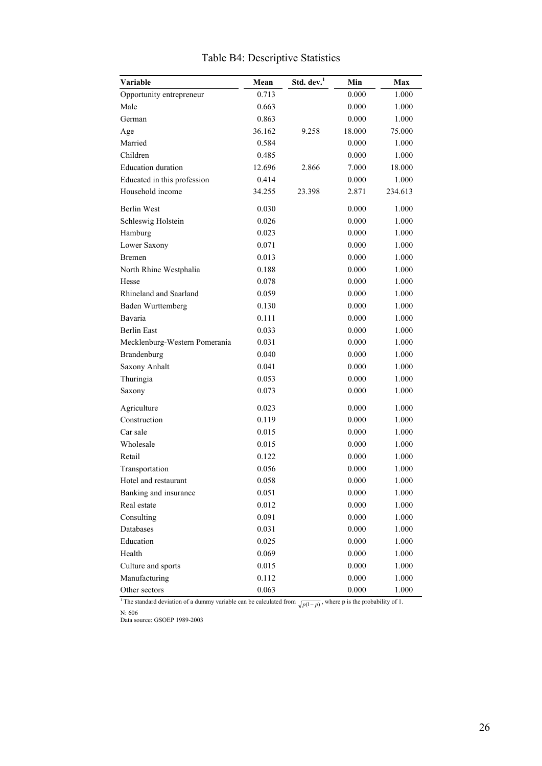| Variable                      | Mean   | Std. dev. <sup>1</sup> | Min    | Max     |
|-------------------------------|--------|------------------------|--------|---------|
| Opportunity entrepreneur      | 0.713  |                        | 0.000  | 1.000   |
| Male                          | 0.663  |                        | 0.000  | 1.000   |
| German                        | 0.863  |                        | 0.000  | 1.000   |
| Age                           | 36.162 | 9.258                  | 18.000 | 75.000  |
| Married                       | 0.584  |                        | 0.000  | 1.000   |
| Children                      | 0.485  |                        | 0.000  | 1.000   |
| <b>Education</b> duration     | 12.696 | 2.866                  | 7.000  | 18.000  |
| Educated in this profession   | 0.414  |                        | 0.000  | 1.000   |
| Household income              | 34.255 | 23.398                 | 2.871  | 234.613 |
| <b>Berlin West</b>            | 0.030  |                        | 0.000  | 1.000   |
| Schleswig Holstein            | 0.026  |                        | 0.000  | 1.000   |
| Hamburg                       | 0.023  |                        | 0.000  | 1.000   |
| Lower Saxony                  | 0.071  |                        | 0.000  | 1.000   |
| <b>Bremen</b>                 | 0.013  |                        | 0.000  | 1.000   |
| North Rhine Westphalia        | 0.188  |                        | 0.000  | 1.000   |
| Hesse                         | 0.078  |                        | 0.000  | 1.000   |
| Rhineland and Saarland        | 0.059  |                        | 0.000  | 1.000   |
| <b>Baden Wurttemberg</b>      | 0.130  |                        | 0.000  | 1.000   |
| Bavaria                       | 0.111  |                        | 0.000  | 1.000   |
| <b>Berlin East</b>            | 0.033  |                        | 0.000  | 1.000   |
| Mecklenburg-Western Pomerania | 0.031  |                        | 0.000  | 1.000   |
| Brandenburg                   | 0.040  |                        | 0.000  | 1.000   |
| Saxony Anhalt                 | 0.041  |                        | 0.000  | 1.000   |
| Thuringia                     | 0.053  |                        | 0.000  | 1.000   |
| Saxony                        | 0.073  |                        | 0.000  | 1.000   |
| Agriculture                   | 0.023  |                        | 0.000  | 1.000   |
| Construction                  | 0.119  |                        | 0.000  | 1.000   |
| Car sale                      | 0.015  |                        | 0.000  | 1.000   |
| Wholesale                     | 0.015  |                        | 0.000  | 1.000   |
| Retail                        | 0.122  |                        | 0.000  | 1.000   |
| Transportation                | 0.056  |                        | 0.000  | 1.000   |
| Hotel and restaurant          | 0.058  |                        | 0.000  | 1.000   |
| Banking and insurance         | 0.051  |                        | 0.000  | 1.000   |
| Real estate                   | 0.012  |                        | 0.000  | 1.000   |
| Consulting                    | 0.091  |                        | 0.000  | 1.000   |
| Databases                     | 0.031  |                        | 0.000  | 1.000   |
| Education                     | 0.025  |                        | 0.000  | 1.000   |
| Health                        | 0.069  |                        | 0.000  | 1.000   |
| Culture and sports            | 0.015  |                        | 0.000  | 1.000   |
| Manufacturing                 | 0.112  |                        | 0.000  | 1.000   |
| Other sectors                 | 0.063  |                        | 0.000  | 1.000   |

# Table B4: Descriptive Statistics

<sup>1</sup> The standard deviation of a dummy variable can be calculated from  $\sqrt{p(1-p)}$ , where p is the probability of 1.

N: 606

Data source: GSOEP 1989-2003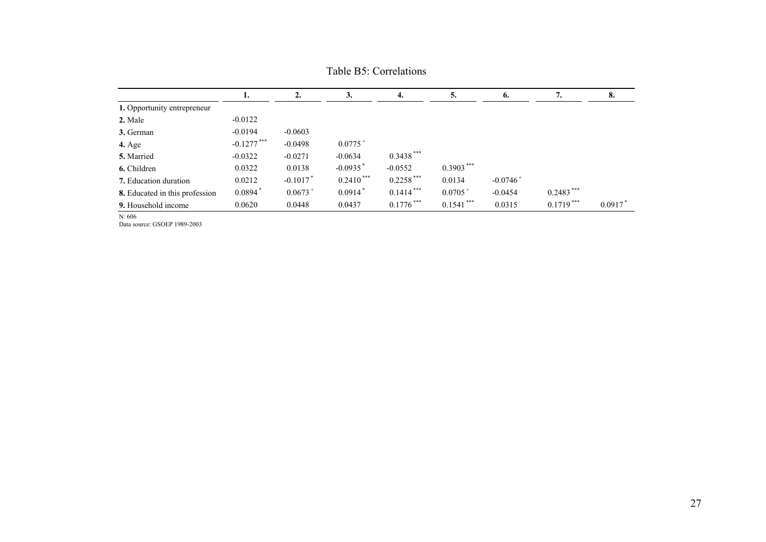|                                | ı.                    | 2.         | 3.                     | 4.           | 5.           | 6.                     | .,           | 8.     |
|--------------------------------|-----------------------|------------|------------------------|--------------|--------------|------------------------|--------------|--------|
| 1. Opportunity entrepreneur    |                       |            |                        |              |              |                        |              |        |
| 2. Male                        | $-0.0122$             |            |                        |              |              |                        |              |        |
| 3. German                      | $-0.0194$             | $-0.0603$  |                        |              |              |                        |              |        |
| $4. \text{Age}$                | $-0.1277***$          | $-0.0498$  | $0.0775+$              |              |              |                        |              |        |
| 5. Married                     | $-0.0322$             | $-0.0271$  | $-0.0634$              | $0.3438***$  |              |                        |              |        |
| 6. Children                    | 0.0322                | 0.0138     | $-0.0935$ <sup>*</sup> | $-0.0552$    | $0.3903***$  |                        |              |        |
| 7. Education duration          | 0.0212                | $-0.1017$  | $0.2410***$            | $0.2258$ *** | 0.0134       | $-0.0746$ <sup>+</sup> |              |        |
| 8. Educated in this profession | $0.0894$ <sup>*</sup> | $0.0673 +$ | $0.0914*$              | $0.1414***$  | $0.0705^+$   | $-0.0454$              | $0.2483$ *** |        |
| 9. Household income            | 0.0620                | 0.0448     | 0.0437                 | $0.1776$ *** | $0.1541$ *** | 0.0315                 | $0.1719***$  | 0.0917 |

Table B5: Correlations

N: 606

Data source: GSOEP 1989-2003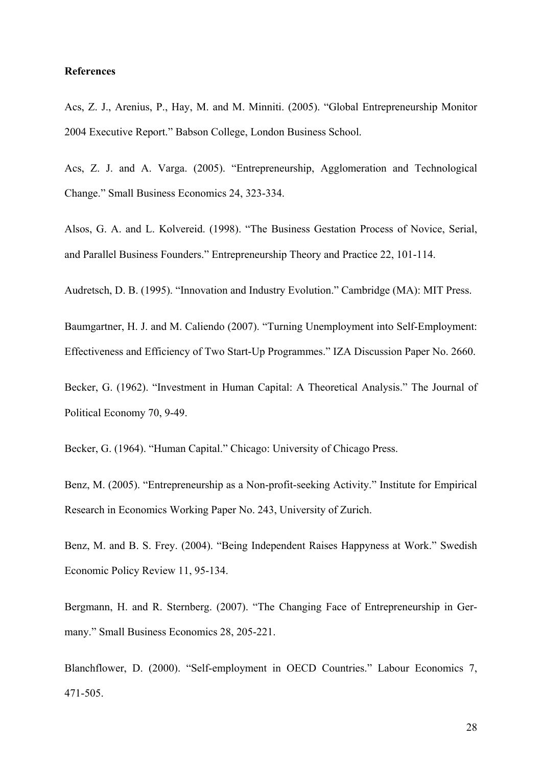## **References**

Acs, Z. J., Arenius, P., Hay, M. and M. Minniti. (2005). "Global Entrepreneurship Monitor 2004 Executive Report." Babson College, London Business School.

Acs, Z. J. and A. Varga. (2005). "Entrepreneurship, Agglomeration and Technological Change." Small Business Economics 24, 323-334.

Alsos, G. A. and L. Kolvereid. (1998). "The Business Gestation Process of Novice, Serial, and Parallel Business Founders." Entrepreneurship Theory and Practice 22, 101-114.

Audretsch, D. B. (1995). "Innovation and Industry Evolution." Cambridge (MA): MIT Press.

Baumgartner, H. J. and M. Caliendo (2007). "Turning Unemployment into Self-Employment: Effectiveness and Efficiency of Two Start-Up Programmes." IZA Discussion Paper No. 2660.

Becker, G. (1962). "Investment in Human Capital: A Theoretical Analysis." The Journal of Political Economy 70, 9-49.

Becker, G. (1964). "Human Capital." Chicago: University of Chicago Press.

Benz, M. (2005). "Entrepreneurship as a Non-profit-seeking Activity." Institute for Empirical Research in Economics Working Paper No. 243, University of Zurich.

Benz, M. and B. S. Frey. (2004). "Being Independent Raises Happyness at Work." Swedish Economic Policy Review 11, 95-134.

Bergmann, H. and R. Sternberg. (2007). "The Changing Face of Entrepreneurship in Germany." Small Business Economics 28, 205-221.

Blanchflower, D. (2000). "Self-employment in OECD Countries." Labour Economics 7, 471-505.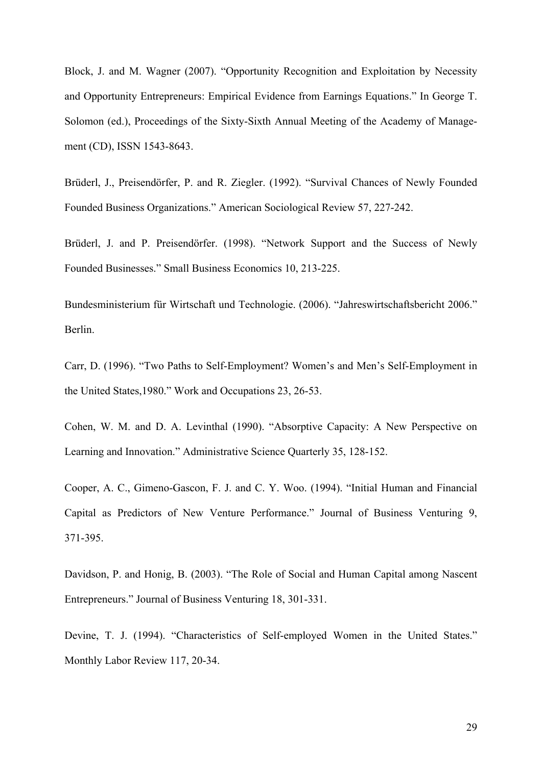Block, J. and M. Wagner (2007). "Opportunity Recognition and Exploitation by Necessity and Opportunity Entrepreneurs: Empirical Evidence from Earnings Equations." In George T. Solomon (ed.), Proceedings of the Sixty-Sixth Annual Meeting of the Academy of Management (CD), ISSN 1543-8643.

Brüderl, J., Preisendörfer, P. and R. Ziegler. (1992). "Survival Chances of Newly Founded Founded Business Organizations." American Sociological Review 57, 227-242.

Brüderl, J. and P. Preisendörfer. (1998). "Network Support and the Success of Newly Founded Businesses." Small Business Economics 10, 213-225.

Bundesministerium für Wirtschaft und Technologie. (2006). "Jahreswirtschaftsbericht 2006." Berlin.

Carr, D. (1996). "Two Paths to Self-Employment? Women's and Men's Self-Employment in the United States,1980." Work and Occupations 23, 26-53.

Cohen, W. M. and D. A. Levinthal (1990). "Absorptive Capacity: A New Perspective on Learning and Innovation." Administrative Science Quarterly 35, 128-152.

Cooper, A. C., Gimeno-Gascon, F. J. and C. Y. Woo. (1994). "Initial Human and Financial Capital as Predictors of New Venture Performance." Journal of Business Venturing 9, 371-395.

Davidson, P. and Honig, B. (2003). "The Role of Social and Human Capital among Nascent Entrepreneurs." Journal of Business Venturing 18, 301-331.

Devine, T. J. (1994). "Characteristics of Self-employed Women in the United States." Monthly Labor Review 117, 20-34.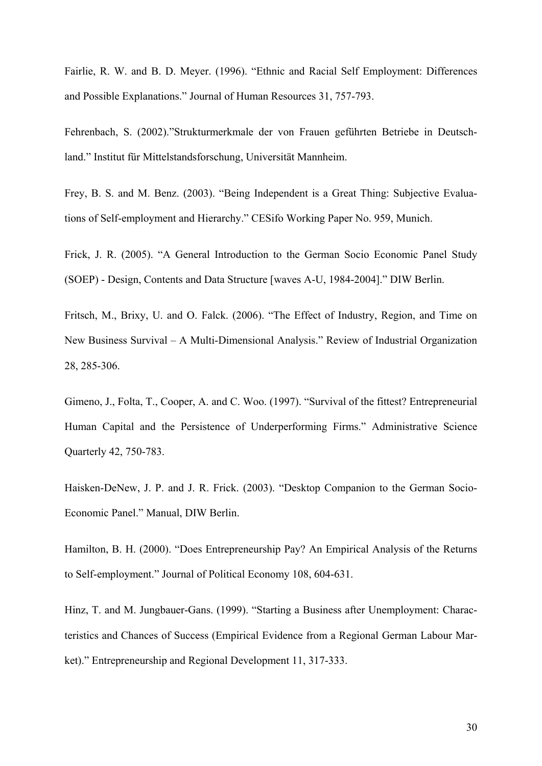Fairlie, R. W. and B. D. Meyer. (1996). "Ethnic and Racial Self Employment: Differences and Possible Explanations." Journal of Human Resources 31, 757-793.

Fehrenbach, S. (2002)."Strukturmerkmale der von Frauen geführten Betriebe in Deutschland." Institut für Mittelstandsforschung, Universität Mannheim.

Frey, B. S. and M. Benz. (2003). "Being Independent is a Great Thing: Subjective Evaluations of Self-employment and Hierarchy." CESifo Working Paper No. 959, Munich.

Frick, J. R. (2005). "A General Introduction to the German Socio Economic Panel Study (SOEP) - Design, Contents and Data Structure [waves A-U, 1984-2004]." DIW Berlin.

Fritsch, M., Brixy, U. and O. Falck. (2006). "The Effect of Industry, Region, and Time on New Business Survival – A Multi-Dimensional Analysis." Review of Industrial Organization 28, 285-306.

Gimeno, J., Folta, T., Cooper, A. and C. Woo. (1997). "Survival of the fittest? Entrepreneurial Human Capital and the Persistence of Underperforming Firms." Administrative Science Quarterly 42, 750-783.

Haisken-DeNew, J. P. and J. R. Frick. (2003). "Desktop Companion to the German Socio-Economic Panel." Manual, DIW Berlin.

Hamilton, B. H. (2000). "Does Entrepreneurship Pay? An Empirical Analysis of the Returns to Self-employment." Journal of Political Economy 108, 604-631.

Hinz, T. and M. Jungbauer-Gans. (1999). "Starting a Business after Unemployment: Characteristics and Chances of Success (Empirical Evidence from a Regional German Labour Market)." Entrepreneurship and Regional Development 11, 317-333.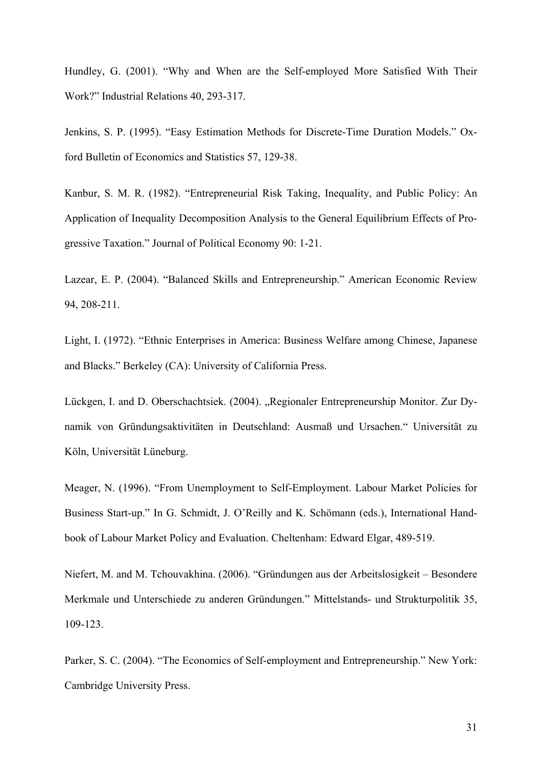Hundley, G. (2001). "Why and When are the Self-employed More Satisfied With Their Work?" Industrial Relations 40, 293-317.

Jenkins, S. P. (1995). "Easy Estimation Methods for Discrete-Time Duration Models." Oxford Bulletin of Economics and Statistics 57, 129-38.

Kanbur, S. M. R. (1982). "Entrepreneurial Risk Taking, Inequality, and Public Policy: An Application of Inequality Decomposition Analysis to the General Equilibrium Effects of Progressive Taxation." Journal of Political Economy 90: 1-21.

Lazear, E. P. (2004). "Balanced Skills and Entrepreneurship." American Economic Review 94, 208-211.

Light, I. (1972). "Ethnic Enterprises in America: Business Welfare among Chinese, Japanese and Blacks." Berkeley (CA): University of California Press.

Lückgen, I. and D. Oberschachtsiek. (2004). "Regionaler Entrepreneurship Monitor. Zur Dynamik von Gründungsaktivitäten in Deutschland: Ausmaß und Ursachen." Universität zu Köln, Universität Lüneburg.

Meager, N. (1996). "From Unemployment to Self-Employment. Labour Market Policies for Business Start-up." In G. Schmidt, J. O'Reilly and K. Schömann (eds.), International Handbook of Labour Market Policy and Evaluation. Cheltenham: Edward Elgar, 489-519.

Niefert, M. and M. Tchouvakhina. (2006). "Gründungen aus der Arbeitslosigkeit – Besondere Merkmale und Unterschiede zu anderen Gründungen." Mittelstands- und Strukturpolitik 35, 109-123.

Parker, S. C. (2004). "The Economics of Self-employment and Entrepreneurship." New York: Cambridge University Press.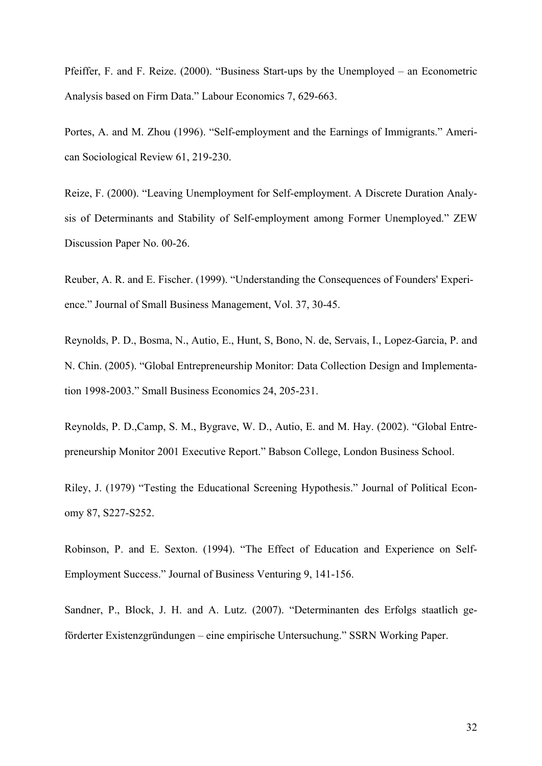Pfeiffer, F. and F. Reize. (2000). "Business Start-ups by the Unemployed – an Econometric Analysis based on Firm Data." Labour Economics 7, 629-663.

Portes, A. and M. Zhou (1996). "Self-employment and the Earnings of Immigrants." American Sociological Review 61, 219-230.

Reize, F. (2000). "Leaving Unemployment for Self-employment. A Discrete Duration Analysis of Determinants and Stability of Self-employment among Former Unemployed." ZEW Discussion Paper No. 00-26.

Reuber, A. R. and E. Fischer. (1999). "Understanding the Consequences of Founders' Experience." Journal of Small Business Management, Vol. 37, 30-45.

Reynolds, P. D., Bosma, N., Autio, E., Hunt, S, Bono, N. de, Servais, I., Lopez-Garcia, P. and N. Chin. (2005). "Global Entrepreneurship Monitor: Data Collection Design and Implementation 1998-2003." Small Business Economics 24, 205-231.

Reynolds, P. D.,Camp, S. M., Bygrave, W. D., Autio, E. and M. Hay. (2002). "Global Entrepreneurship Monitor 2001 Executive Report." Babson College, London Business School.

Riley, J. (1979) "Testing the Educational Screening Hypothesis." Journal of Political Economy 87, S227-S252.

Robinson, P. and E. Sexton. (1994). "The Effect of Education and Experience on Self-Employment Success." Journal of Business Venturing 9, 141-156.

Sandner, P., Block, J. H. and A. Lutz. (2007). "Determinanten des Erfolgs staatlich geförderter Existenzgründungen – eine empirische Untersuchung." SSRN Working Paper.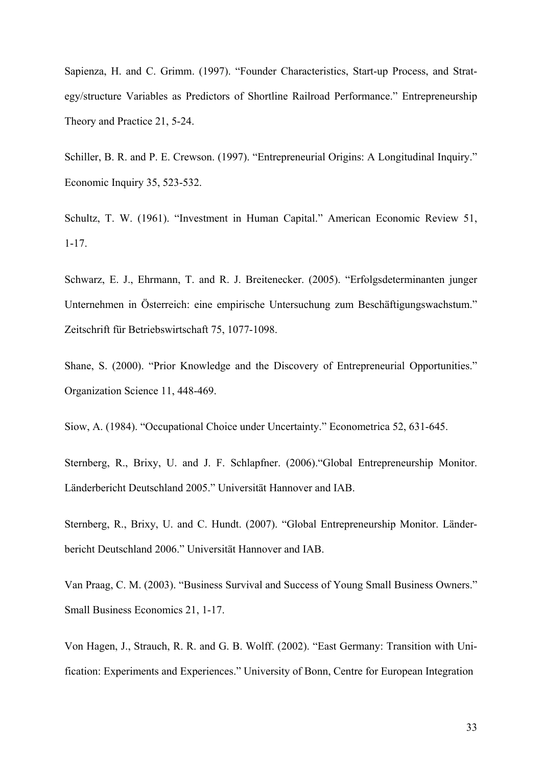Sapienza, H. and C. Grimm. (1997). "Founder Characteristics, Start-up Process, and Strategy/structure Variables as Predictors of Shortline Railroad Performance." Entrepreneurship Theory and Practice 21, 5-24.

Schiller, B. R. and P. E. Crewson. (1997). "Entrepreneurial Origins: A Longitudinal Inquiry." Economic Inquiry 35, 523-532.

Schultz, T. W. (1961). "Investment in Human Capital." American Economic Review 51, 1-17.

Schwarz, E. J., Ehrmann, T. and R. J. Breitenecker. (2005). "Erfolgsdeterminanten junger Unternehmen in Österreich: eine empirische Untersuchung zum Beschäftigungswachstum." Zeitschrift für Betriebswirtschaft 75, 1077-1098.

Shane, S. (2000). "Prior Knowledge and the Discovery of Entrepreneurial Opportunities." Organization Science 11, 448-469.

Siow, A. (1984). "Occupational Choice under Uncertainty." Econometrica 52, 631-645.

Sternberg, R., Brixy, U. and J. F. Schlapfner. (2006)."Global Entrepreneurship Monitor. Länderbericht Deutschland 2005." Universität Hannover and IAB.

Sternberg, R., Brixy, U. and C. Hundt. (2007). "Global Entrepreneurship Monitor. Länderbericht Deutschland 2006." Universität Hannover and IAB.

Van Praag, C. M. (2003). "Business Survival and Success of Young Small Business Owners." Small Business Economics 21, 1-17.

Von Hagen, J., Strauch, R. R. and G. B. Wolff. (2002). "East Germany: Transition with Unification: Experiments and Experiences." University of Bonn, Centre for European Integration